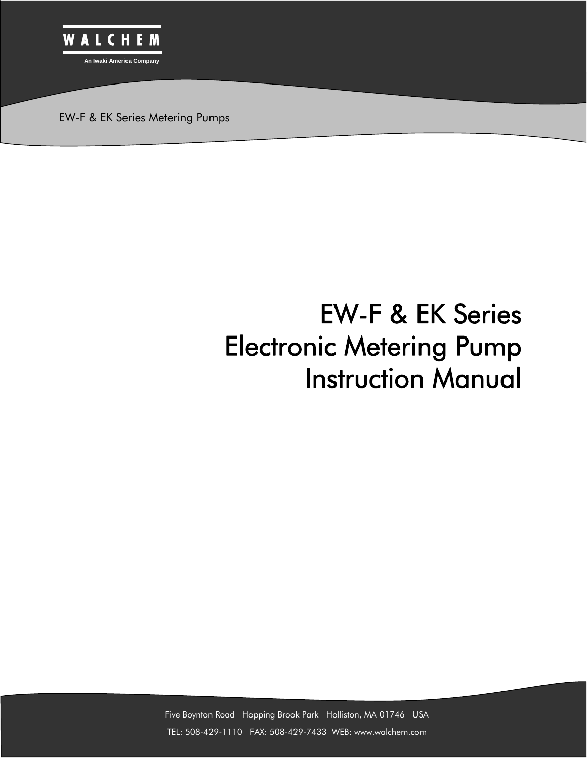

EW-F & EK Series Metering Pumps

# EW-F & EK Series Electronic Metering Pump Instruction Manual

Five Boynton Road Hopping Brook Park Holliston, MA 01746 USA TEL: 508-429-1110 FAX: 508-429-7433 WEB: www.walchem.com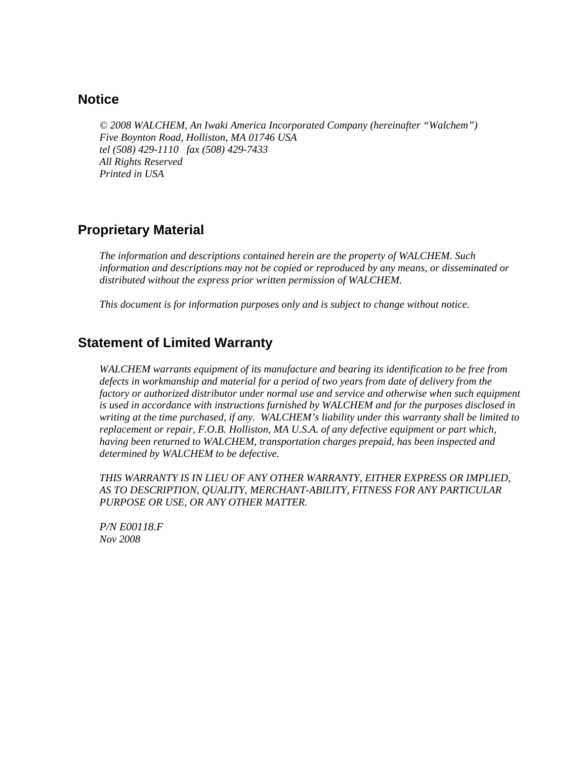# **Notice**

*© 2008 WALCHEM, An Iwaki America Incorporated Company (hereinafter "Walchem") Five Boynton Road, Holliston, MA 01746 USA tel (508) 429-1110 fax (508) 429-7433 All Rights Reserved Printed in USA* 

# **Proprietary Material**

*The information and descriptions contained herein are the property of WALCHEM. Such information and descriptions may not be copied or reproduced by any means, or disseminated or distributed without the express prior written permission of WALCHEM.* 

*This document is for information purposes only and is subject to change without notice.*

# **Statement of Limited Warranty**

*WALCHEM warrants equipment of its manufacture and bearing its identification to be free from defects in workmanship and material for a period of two years from date of delivery from the factory or authorized distributor under normal use and service and otherwise when such equipment is used in accordance with instructions furnished by WALCHEM and for the purposes disclosed in writing at the time purchased, if any. WALCHEM's liability under this warranty shall be limited to replacement or repair, F.O.B. Holliston, MA U.S.A. of any defective equipment or part which, having been returned to WALCHEM, transportation charges prepaid, has been inspected and determined by WALCHEM to be defective.* 

*THIS WARRANTY IS IN LIEU OF ANY OTHER WARRANTY, EITHER EXPRESS OR IMPLIED, AS TO DESCRIPTION, QUALITY, MERCHANT-ABILITY, FITNESS FOR ANY PARTICULAR PURPOSE OR USE, OR ANY OTHER MATTER.* 

*P/N E00118.F Nov 2008*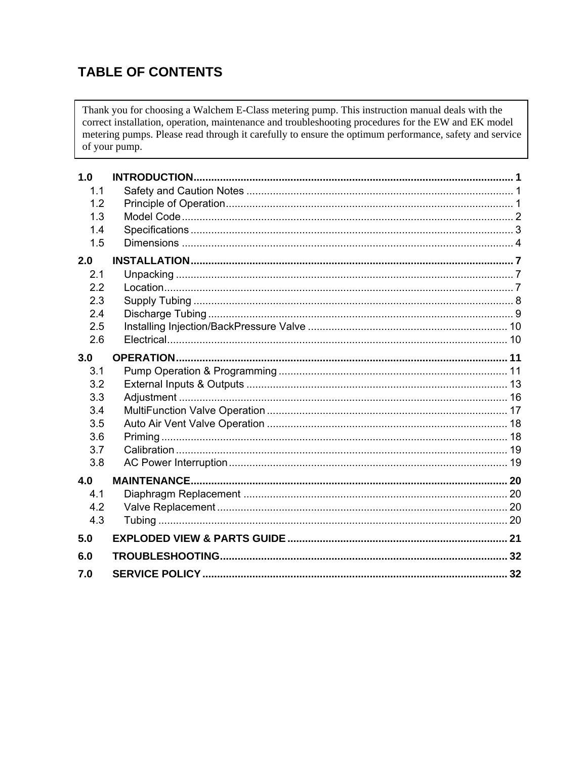# **TABLE OF CONTENTS**

Thank you for choosing a Walchem E-Class metering pump. This instruction manual deals with the correct installation, operation, maintenance and troubleshooting procedures for the EW and EK model metering pumps. Please read through it carefully to ensure the optimum performance, safety and service of your pump.

| 1.0 |    |  |
|-----|----|--|
| 1.1 |    |  |
| 1.2 |    |  |
| 1.3 |    |  |
| 1.4 |    |  |
| 1.5 |    |  |
| 2.0 |    |  |
| 2.1 |    |  |
| 2.2 |    |  |
| 2.3 |    |  |
| 2.4 |    |  |
| 2.5 |    |  |
| 2.6 |    |  |
| 3.0 |    |  |
| 3.1 |    |  |
| 3.2 |    |  |
| 3.3 |    |  |
| 3.4 |    |  |
| 3.5 |    |  |
| 3.6 |    |  |
| 3.7 |    |  |
| 3.8 |    |  |
| 4.0 |    |  |
| 4.1 |    |  |
| 4.2 |    |  |
| 4.3 |    |  |
| 5.0 |    |  |
| 6.0 |    |  |
| 7.0 | 32 |  |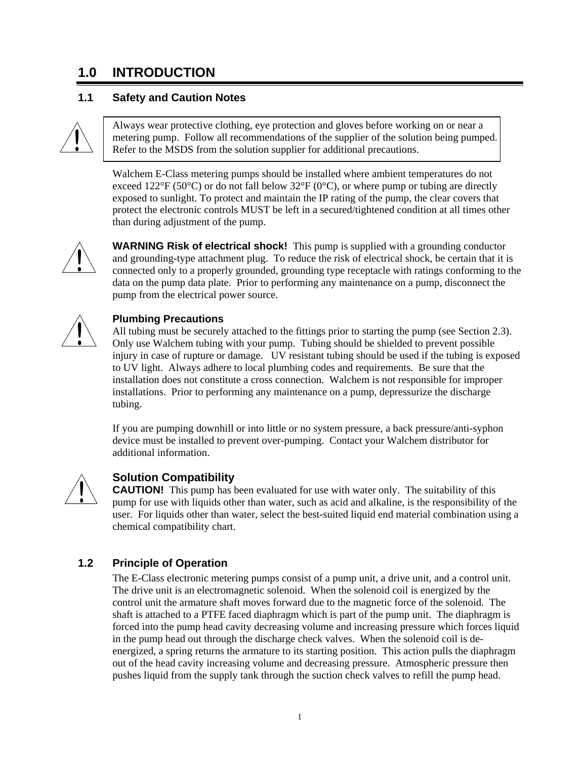# **1.0 INTRODUCTION**

# **1.1 Safety and Caution Notes**



Always wear protective clothing, eye protection and gloves before working on or near a metering pump. Follow all recommendations of the supplier of the solution being pumped. Refer to the MSDS from the solution supplier for additional precautions.

Walchem E-Class metering pumps should be installed where ambient temperatures do not exceed 122 $\degree$ F (50 $\degree$ C) or do not fall below 32 $\degree$ F (0 $\degree$ C), or where pump or tubing are directly exposed to sunlight. To protect and maintain the IP rating of the pump, the clear covers that protect the electronic controls MUST be left in a secured/tightened condition at all times other than during adjustment of the pump.



**WARNING Risk of electrical shock!** This pump is supplied with a grounding conductor and grounding-type attachment plug. To reduce the risk of electrical shock, be certain that it is connected only to a properly grounded, grounding type receptacle with ratings conforming to the data on the pump data plate. Prior to performing any maintenance on a pump, disconnect the pump from the electrical power source.



### **Plumbing Precautions**

All tubing must be securely attached to the fittings prior to starting the pump (see Section 2.3). Only use Walchem tubing with your pump. Tubing should be shielded to prevent possible injury in case of rupture or damage. UV resistant tubing should be used if the tubing is exposed to UV light. Always adhere to local plumbing codes and requirements. Be sure that the installation does not constitute a cross connection. Walchem is not responsible for improper installations. Prior to performing any maintenance on a pump, depressurize the discharge tubing.

If you are pumping downhill or into little or no system pressure, a back pressure/anti-syphon device must be installed to prevent over-pumping. Contact your Walchem distributor for additional information.



# **Solution Compatibility**

**CAUTION!** This pump has been evaluated for use with water only. The suitability of this pump for use with liquids other than water, such as acid and alkaline, is the responsibility of the user. For liquids other than water, select the best-suited liquid end material combination using a chemical compatibility chart.

# **1.2 Principle of Operation**

The E-Class electronic metering pumps consist of a pump unit, a drive unit, and a control unit. The drive unit is an electromagnetic solenoid. When the solenoid coil is energized by the control unit the armature shaft moves forward due to the magnetic force of the solenoid. The shaft is attached to a PTFE faced diaphragm which is part of the pump unit. The diaphragm is forced into the pump head cavity decreasing volume and increasing pressure which forces liquid in the pump head out through the discharge check valves. When the solenoid coil is deenergized, a spring returns the armature to its starting position. This action pulls the diaphragm out of the head cavity increasing volume and decreasing pressure. Atmospheric pressure then pushes liquid from the supply tank through the suction check valves to refill the pump head.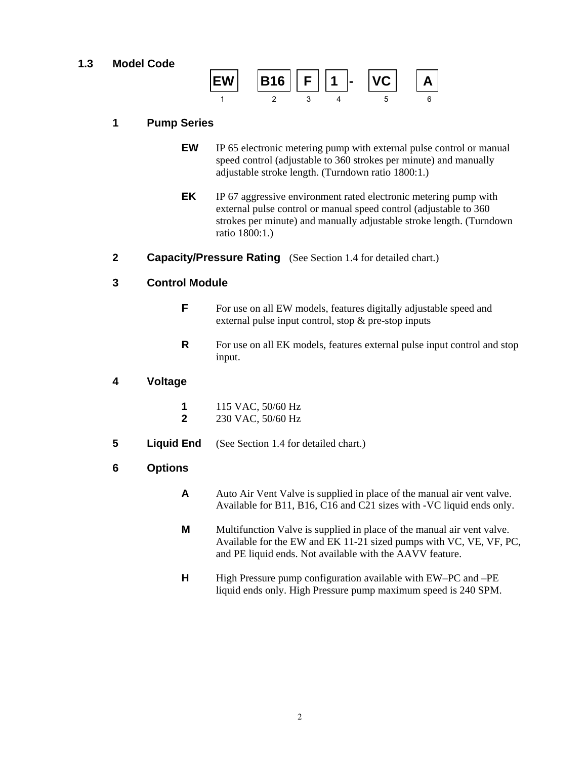# **1.3 Model Code**



### **1 Pump Series**

- **EW** IP 65 electronic metering pump with external pulse control or manual speed control (adjustable to 360 strokes per minute) and manually adjustable stroke length. (Turndown ratio 1800:1.)
- **EK** IP 67 aggressive environment rated electronic metering pump with external pulse control or manual speed control (adjustable to 360 strokes per minute) and manually adjustable stroke length. (Turndown ratio 1800:1.)
- **2 Capacity/Pressure Rating** (See Section 1.4 for detailed chart.)

#### **3 Control Module**

- **F** For use on all EW models, features digitally adjustable speed and external pulse input control, stop & pre-stop inputs
- **R** For use on all EK models, features external pulse input control and stop input.

### **4 Voltage**

- **1** 115 VAC, 50/60 Hz
- **2** 230 VAC, 50/60 Hz
- **5** Liquid End (See Section 1.4 for detailed chart.)

#### **6 Options**

- **A** Auto Air Vent Valve is supplied in place of the manual air vent valve. Available for B11, B16, C16 and C21 sizes with -VC liquid ends only.
- **M** Multifunction Valve is supplied in place of the manual air vent valve. Available for the EW and EK 11-21 sized pumps with VC, VE, VF, PC, and PE liquid ends. Not available with the AAVV feature.
- **H** High Pressure pump configuration available with EW–PC and –PE liquid ends only. High Pressure pump maximum speed is 240 SPM.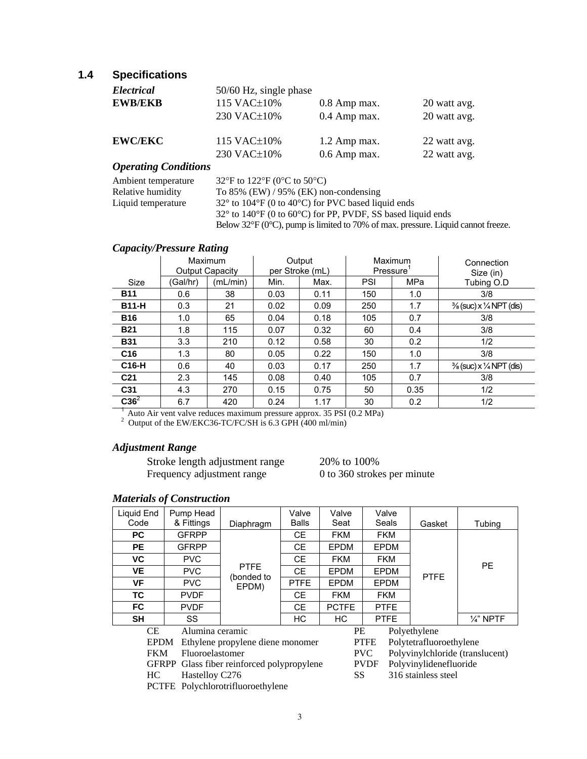# **1.4 Specifications**

| Electrical            | 50/60 Hz, single phase |                |              |
|-----------------------|------------------------|----------------|--------------|
| <b>EWB/EKB</b>        | 115 VAC±10%            | $0.8$ Amp max. | 20 watt avg. |
|                       | 230 VAC±10%            | 0.4 Amp max.   | 20 watt avg. |
| <b>EWC/EKC</b>        | 115 VAC $\pm$ 10%      | 1.2 Amp max.   | 22 watt avg. |
|                       | 230 VAC±10%            | $0.6$ Amp max. | 22 watt avg. |
| Onevative Conditional |                        |                |              |

#### *Operating Conditions*

| Ambient temperature | 32°F to 122°F (0°C to 50°C)                                                                          |
|---------------------|------------------------------------------------------------------------------------------------------|
| Relative humidity   | To $85\%$ (EW) / 95% (EK) non-condensing                                                             |
| Liquid temperature  | $32^{\circ}$ to 104 $^{\circ}$ F (0 to 40 $^{\circ}$ C) for PVC based liquid ends                    |
|                     | $32^{\circ}$ to $140^{\circ}$ F (0 to 60 $^{\circ}$ C) for PP, PVDF, SS based liquid ends            |
|                     | Below $32^{\circ}F$ (0 $^{\circ}C$ ), pump is limited to 70% of max. pressure. Liquid cannot freeze. |

#### *Capacity/Pressure Rating*

|                                                                                                                                  |          | Maximum<br><b>Output Capacity</b> | Maximum<br>Output<br>Pressure <sup>1</sup><br>per Stroke (mL) |      | Connection<br>Size (in) |            |                                               |
|----------------------------------------------------------------------------------------------------------------------------------|----------|-----------------------------------|---------------------------------------------------------------|------|-------------------------|------------|-----------------------------------------------|
| Size                                                                                                                             | (Gal/hr) | (mL/min)                          | Min.                                                          | Max. | <b>PSI</b>              | <b>MPa</b> | Tubing O.D                                    |
| <b>B11</b>                                                                                                                       | 0.6      | 38                                | 0.03                                                          | 0.11 | 150                     | 1.0        | 3/8                                           |
| <b>B11-H</b>                                                                                                                     | 0.3      | 21                                | 0.02                                                          | 0.09 | 250                     | 1.7        | $\frac{3}{8}$ (suc) x $\frac{1}{4}$ NPT (dis) |
| <b>B16</b>                                                                                                                       | 1.0      | 65                                | 0.04                                                          | 0.18 | 105                     | 0.7        | 3/8                                           |
| <b>B21</b>                                                                                                                       | 1.8      | 115                               | 0.07                                                          | 0.32 | 60                      | 0.4        | 3/8                                           |
| <b>B31</b>                                                                                                                       | 3.3      | 210                               | 0.12                                                          | 0.58 | 30                      | 0.2        | 1/2                                           |
| C <sub>16</sub>                                                                                                                  | 1.3      | 80                                | 0.05                                                          | 0.22 | 150                     | 1.0        | 3/8                                           |
| C16-H                                                                                                                            | 0.6      | 40                                | 0.03                                                          | 0.17 | 250                     | 1.7        | $\frac{3}{8}$ (suc) x $\frac{1}{4}$ NPT (dis) |
| C <sub>21</sub>                                                                                                                  | 2.3      | 145                               | 0.08                                                          | 0.40 | 105                     | 0.7        | 3/8                                           |
| C31                                                                                                                              | 4.3      | 270                               | 0.15                                                          | 0.75 | 50                      | 0.35       | 1/2                                           |
| $C36^2$                                                                                                                          | 6.7      | 420                               | 0.24                                                          | 1.17 | 30                      | 0.2        | 1/2                                           |
| Auto Air vent valve reduces maximum pressure approx. 35 PSI (0.2 MPa)<br>Output of the EW/EKC36-TC/FC/SH is 6.3 GPH (400 ml/min) |          |                                   |                                                               |      |                         |            |                                               |

#### *Adjustment Range*

 Stroke length adjustment range 20% to 100% Frequency adjustment range 0 to 360 strokes per minute

# *Materials of Construction*

| Liquid End   | Pump Head       |                                      | Valve        | Valve        | Valve                                         |                         |                      |
|--------------|-----------------|--------------------------------------|--------------|--------------|-----------------------------------------------|-------------------------|----------------------|
| Code         | & Fittings      | Diaphragm                            | <b>Balls</b> | Seat         | Seals                                         | Gasket                  | Tubing               |
| <b>PC</b>    | <b>GFRPP</b>    |                                      | <b>CE</b>    | <b>FKM</b>   | <b>FKM</b>                                    |                         |                      |
| <b>PE</b>    | <b>GFRPP</b>    |                                      | <b>CE</b>    | <b>EPDM</b>  | <b>EPDM</b>                                   |                         |                      |
| <b>VC</b>    | <b>PVC</b>      |                                      | <b>CE</b>    | <b>FKM</b>   | <b>FKM</b>                                    |                         |                      |
| <b>VE</b>    | <b>PVC</b>      | <b>PTFE</b><br>(bonded to            | <b>CE</b>    | <b>EPDM</b>  | EPDM                                          | <b>PTFE</b>             | <b>PE</b>            |
| <b>VF</b>    | <b>PVC</b>      | EPDM)                                | <b>PTFE</b>  | <b>EPDM</b>  | <b>EPDM</b>                                   |                         |                      |
| <b>TC</b>    | <b>PVDF</b>     |                                      | <b>CE</b>    | <b>FKM</b>   | <b>FKM</b>                                    |                         |                      |
| <b>FC</b>    | <b>PVDF</b>     |                                      | <b>CE</b>    | <b>PCTFE</b> | <b>PTFE</b>                                   |                         |                      |
| <b>SH</b>    | <b>SS</b>       |                                      | <b>HC</b>    | HC           | <b>PTFE</b>                                   |                         | $\frac{1}{4}$ " NPTF |
| CE.          | Alumina ceramic |                                      |              | <b>PE</b>    |                                               | Polyethylene            |                      |
| <b>EPDM</b>  |                 | Ethylene propylene diene monomer     |              |              | <b>PTFE</b>                                   | Polytetrafluoroethylene |                      |
| <b>FKM</b>   |                 | Fluoroelastomer                      |              |              | Polyvinylchloride (translucent)<br><b>PVC</b> |                         |                      |
| <b>GFRPP</b> |                 | Glass fiber reinforced polypropylene |              |              | <b>PVDF</b><br>Polyvinylidenefluoride         |                         |                      |
| HC.          |                 | Hastelloy C276                       |              |              |                                               | 316 stainless steel     |                      |
|              |                 | PCTFE Polychlorotrifluoroethylene    |              |              |                                               |                         |                      |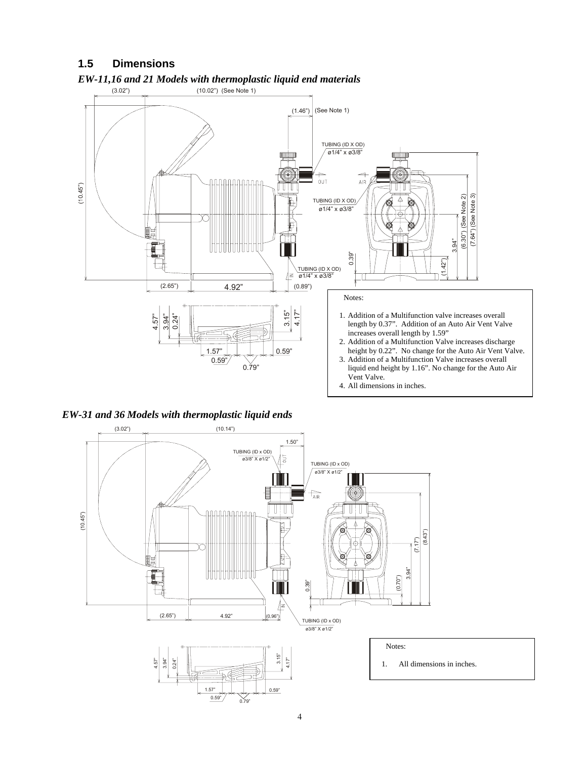# **1.5 Dimensions**



### *EW-11,16 and 21 Models with thermoplastic liquid end materials*



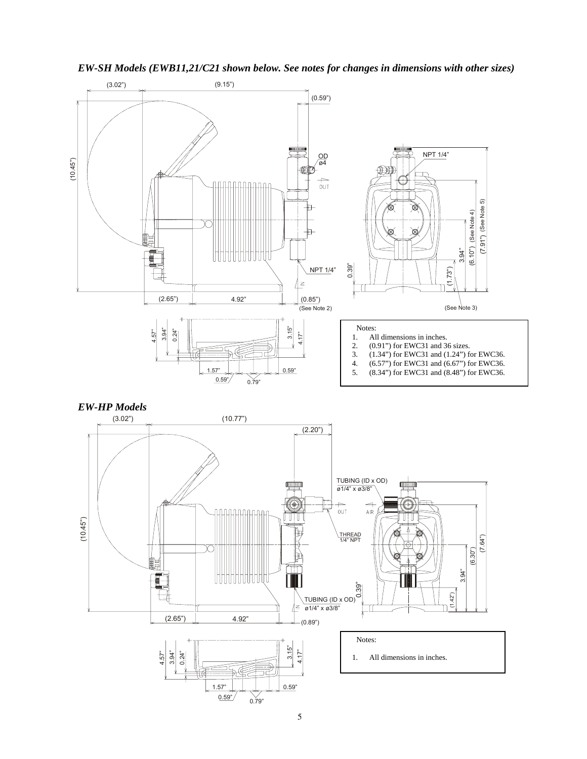

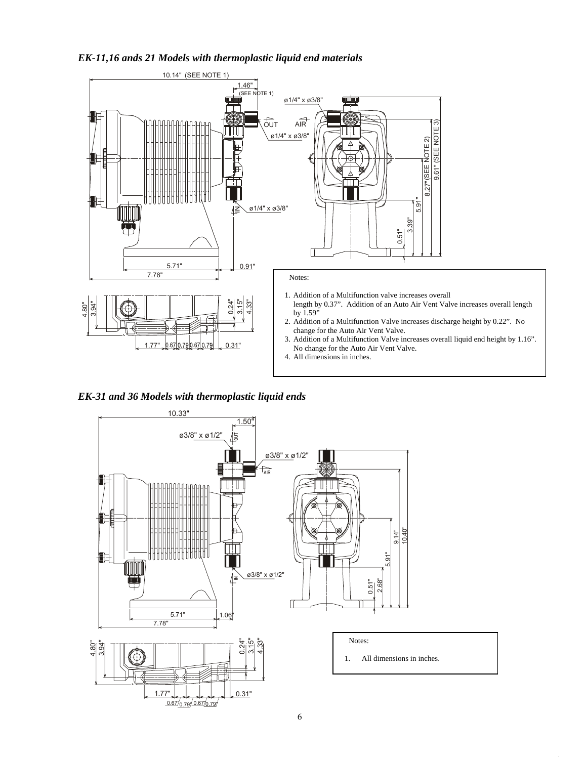#### *EK-11,16 ands 21 Models with thermoplastic liquid end materials*



*EK-31 and 36 Models with thermoplastic liquid ends*

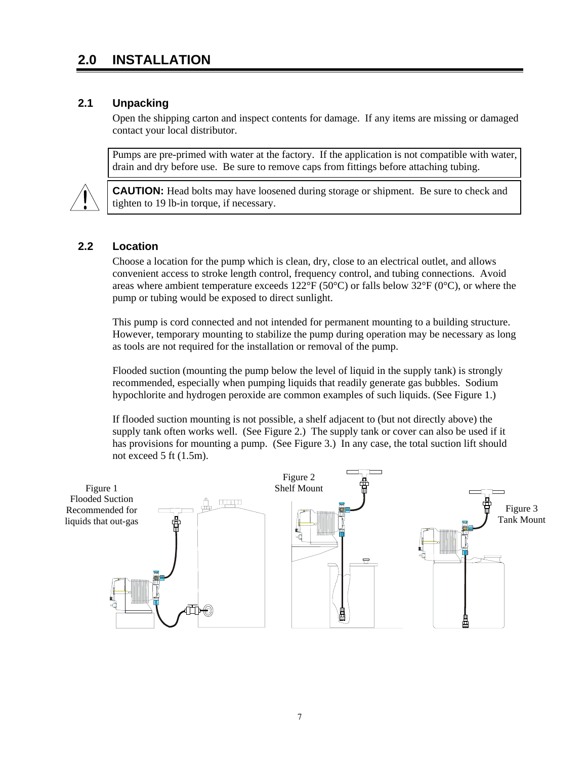# **2.0 INSTALLATION**

## **2.1 Unpacking**

Open the shipping carton and inspect contents for damage. If any items are missing or damaged contact your local distributor.

Pumps are pre-primed with water at the factory. If the application is not compatible with water, drain and dry before use. Be sure to remove caps from fittings before attaching tubing.



**CAUTION:** Head bolts may have loosened during storage or shipment. Be sure to check and tighten to 19 lb-in torque, if necessary.

#### **2.2 Location**

Choose a location for the pump which is clean, dry, close to an electrical outlet, and allows convenient access to stroke length control, frequency control, and tubing connections. Avoid areas where ambient temperature exceeds  $122^{\circ}F(50^{\circ}C)$  or falls below  $32^{\circ}F(0^{\circ}C)$ , or where the pump or tubing would be exposed to direct sunlight.

This pump is cord connected and not intended for permanent mounting to a building structure. However, temporary mounting to stabilize the pump during operation may be necessary as long as tools are not required for the installation or removal of the pump.

Flooded suction (mounting the pump below the level of liquid in the supply tank) is strongly recommended, especially when pumping liquids that readily generate gas bubbles. Sodium hypochlorite and hydrogen peroxide are common examples of such liquids. (See Figure 1.)

If flooded suction mounting is not possible, a shelf adjacent to (but not directly above) the supply tank often works well. (See Figure 2.) The supply tank or cover can also be used if it has provisions for mounting a pump. (See Figure 3.) In any case, the total suction lift should not exceed 5 ft (1.5m).

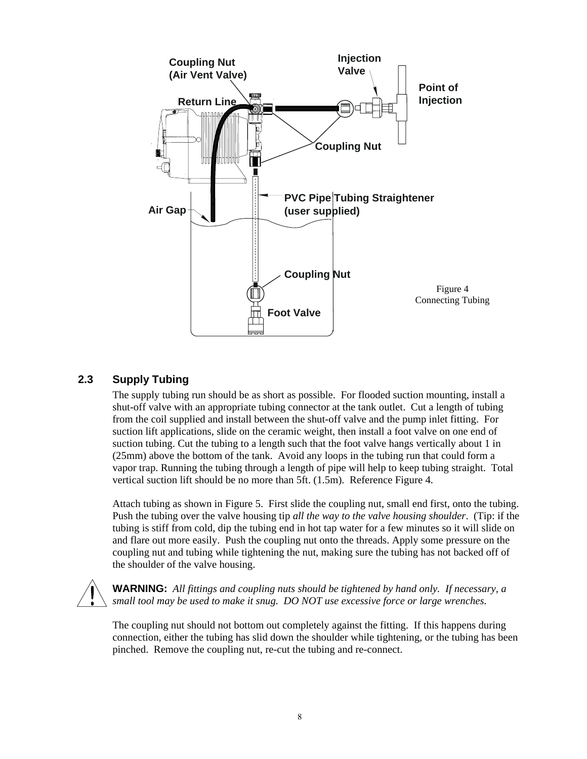

# **2.3 Supply Tubing**

The supply tubing run should be as short as possible. For flooded suction mounting, install a shut-off valve with an appropriate tubing connector at the tank outlet. Cut a length of tubing from the coil supplied and install between the shut-off valve and the pump inlet fitting. For suction lift applications, slide on the ceramic weight, then install a foot valve on one end of suction tubing. Cut the tubing to a length such that the foot valve hangs vertically about 1 in (25mm) above the bottom of the tank. Avoid any loops in the tubing run that could form a vapor trap. Running the tubing through a length of pipe will help to keep tubing straight. Total vertical suction lift should be no more than 5ft. (1.5m). Reference Figure 4.

Attach tubing as shown in Figure 5. First slide the coupling nut, small end first, onto the tubing. Push the tubing over the valve housing tip *all the way to the valve housing shoulder*. (Tip: if the tubing is stiff from cold, dip the tubing end in hot tap water for a few minutes so it will slide on and flare out more easily. Push the coupling nut onto the threads. Apply some pressure on the coupling nut and tubing while tightening the nut, making sure the tubing has not backed off of the shoulder of the valve housing.



**WARNING:** *All fittings and coupling nuts should be tightened by hand only. If necessary, a small tool may be used to make it snug. DO NOT use excessive force or large wrenches.* 

The coupling nut should not bottom out completely against the fitting. If this happens during connection, either the tubing has slid down the shoulder while tightening, or the tubing has been pinched. Remove the coupling nut, re-cut the tubing and re-connect.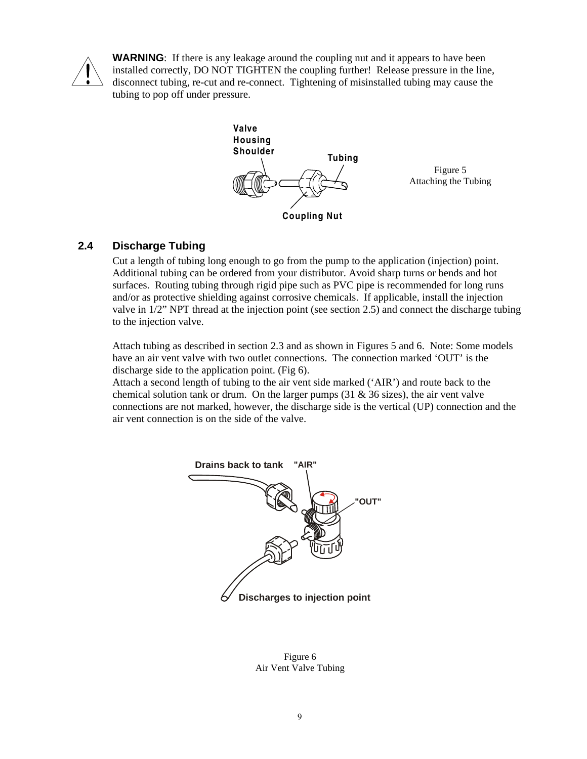

**WARNING**: If there is any leakage around the coupling nut and it appears to have been installed correctly, DO NOT TIGHTEN the coupling further! Release pressure in the line, disconnect tubing, re-cut and re-connect. Tightening of misinstalled tubing may cause the tubing to pop off under pressure.



# **2.4 Discharge Tubing**

Cut a length of tubing long enough to go from the pump to the application (injection) point. Additional tubing can be ordered from your distributor. Avoid sharp turns or bends and hot surfaces. Routing tubing through rigid pipe such as PVC pipe is recommended for long runs and/or as protective shielding against corrosive chemicals. If applicable, install the injection valve in 1/2" NPT thread at the injection point (see section 2.5) and connect the discharge tubing to the injection valve.

Attach tubing as described in section 2.3 and as shown in Figures 5 and 6. Note: Some models have an air vent valve with two outlet connections. The connection marked 'OUT' is the discharge side to the application point. (Fig 6).

Attach a second length of tubing to the air vent side marked ('AIR') and route back to the chemical solution tank or drum. On the larger pumps  $(31 \& 36 \text{ sizes})$ , the air vent valve connections are not marked, however, the discharge side is the vertical (UP) connection and the air vent connection is on the side of the valve.



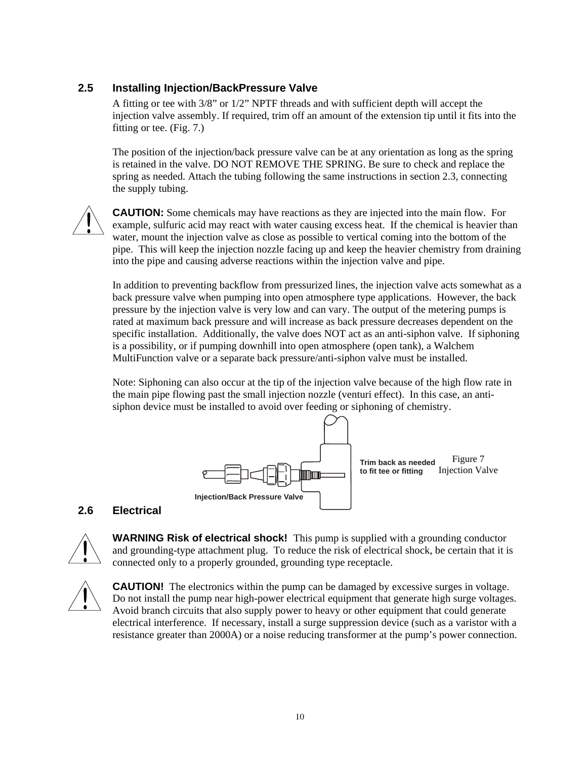# **2.5 Installing Injection/BackPressure Valve**

A fitting or tee with 3/8" or 1/2" NPTF threads and with sufficient depth will accept the injection valve assembly. If required, trim off an amount of the extension tip until it fits into the fitting or tee. (Fig. 7.)

The position of the injection/back pressure valve can be at any orientation as long as the spring is retained in the valve. DO NOT REMOVE THE SPRING. Be sure to check and replace the spring as needed. Attach the tubing following the same instructions in section 2.3, connecting the supply tubing.



**CAUTION:** Some chemicals may have reactions as they are injected into the main flow. For example, sulfuric acid may react with water causing excess heat. If the chemical is heavier than water, mount the injection valve as close as possible to vertical coming into the bottom of the pipe. This will keep the injection nozzle facing up and keep the heavier chemistry from draining into the pipe and causing adverse reactions within the injection valve and pipe.

In addition to preventing backflow from pressurized lines, the injection valve acts somewhat as a back pressure valve when pumping into open atmosphere type applications. However, the back pressure by the injection valve is very low and can vary. The output of the metering pumps is rated at maximum back pressure and will increase as back pressure decreases dependent on the specific installation. Additionally, the valve does NOT act as an anti-siphon valve. If siphoning is a possibility, or if pumping downhill into open atmosphere (open tank), a Walchem MultiFunction valve or a separate back pressure/anti-siphon valve must be installed.

Note: Siphoning can also occur at the tip of the injection valve because of the high flow rate in the main pipe flowing past the small injection nozzle (venturi effect). In this case, an antisiphon device must be installed to avoid over feeding or siphoning of chemistry.



### **2.6 Electrical**



**WARNING Risk of electrical shock!** This pump is supplied with a grounding conductor and grounding-type attachment plug. To reduce the risk of electrical shock, be certain that it is connected only to a properly grounded, grounding type receptacle.



**CAUTION!** The electronics within the pump can be damaged by excessive surges in voltage. Do not install the pump near high-power electrical equipment that generate high surge voltages. Avoid branch circuits that also supply power to heavy or other equipment that could generate electrical interference. If necessary, install a surge suppression device (such as a varistor with a resistance greater than 2000A) or a noise reducing transformer at the pump's power connection.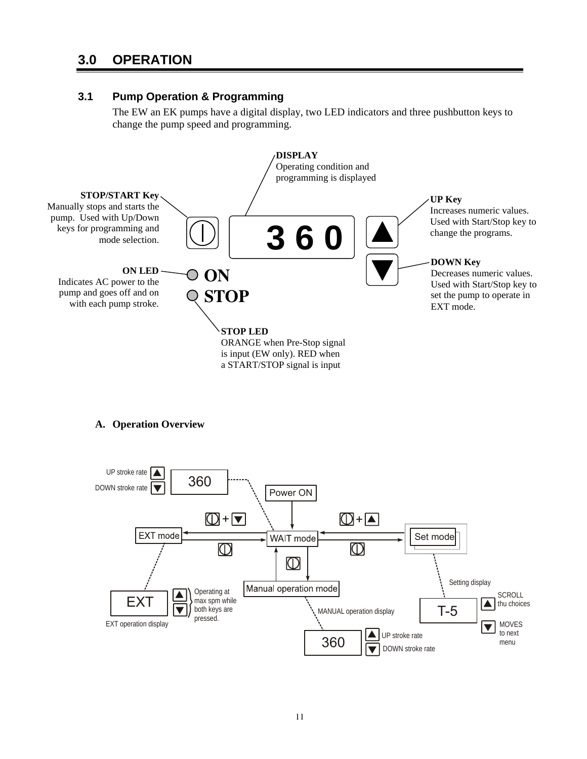# **3.0 OPERATION**

### **3.1 Pump Operation & Programming**

The EW an EK pumps have a digital display, two LED indicators and three pushbutton keys to change the pump speed and programming.



#### **A. Operation Overview**

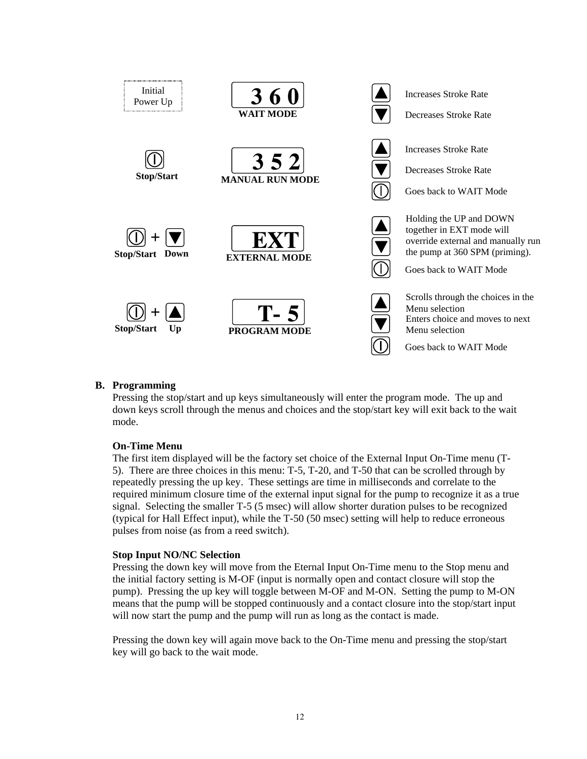

#### **B. Programming**

Pressing the stop/start and up keys simultaneously will enter the program mode. The up and down keys scroll through the menus and choices and the stop/start key will exit back to the wait mode.

#### **On-Time Menu**

The first item displayed will be the factory set choice of the External Input On-Time menu (T-5). There are three choices in this menu: T-5, T-20, and T-50 that can be scrolled through by repeatedly pressing the up key. These settings are time in milliseconds and correlate to the required minimum closure time of the external input signal for the pump to recognize it as a true signal. Selecting the smaller T-5 (5 msec) will allow shorter duration pulses to be recognized (typical for Hall Effect input), while the T-50 (50 msec) setting will help to reduce erroneous pulses from noise (as from a reed switch).

#### **Stop Input NO/NC Selection**

Pressing the down key will move from the Eternal Input On-Time menu to the Stop menu and the initial factory setting is M-OF (input is normally open and contact closure will stop the pump). Pressing the up key will toggle between M-OF and M-ON. Setting the pump to M-ON means that the pump will be stopped continuously and a contact closure into the stop/start input will now start the pump and the pump will run as long as the contact is made.

Pressing the down key will again move back to the On-Time menu and pressing the stop/start key will go back to the wait mode.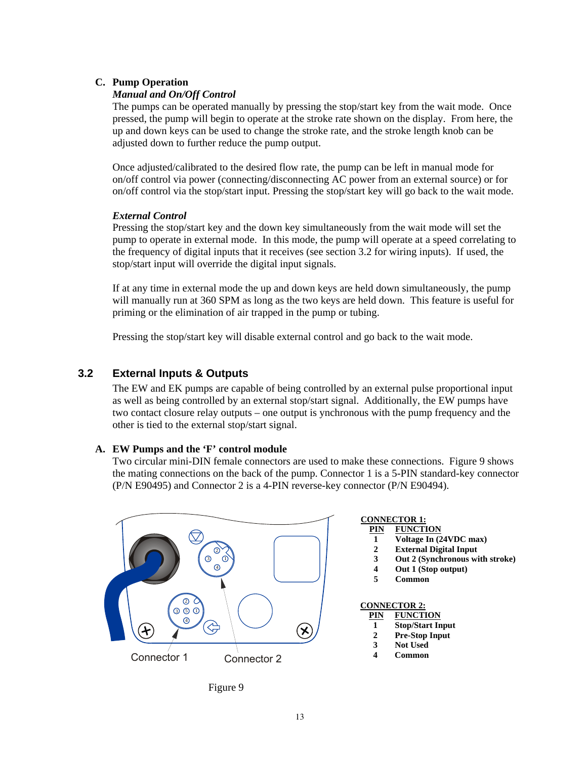### **C. Pump Operation**

#### *Manual and On/Off Control*

The pumps can be operated manually by pressing the stop/start key from the wait mode. Once pressed, the pump will begin to operate at the stroke rate shown on the display. From here, the up and down keys can be used to change the stroke rate, and the stroke length knob can be adjusted down to further reduce the pump output.

Once adjusted/calibrated to the desired flow rate, the pump can be left in manual mode for on/off control via power (connecting/disconnecting AC power from an external source) or for on/off control via the stop/start input. Pressing the stop/start key will go back to the wait mode.

#### *External Control*

Pressing the stop/start key and the down key simultaneously from the wait mode will set the pump to operate in external mode. In this mode, the pump will operate at a speed correlating to the frequency of digital inputs that it receives (see section 3.2 for wiring inputs). If used, the stop/start input will override the digital input signals.

If at any time in external mode the up and down keys are held down simultaneously, the pump will manually run at 360 SPM as long as the two keys are held down. This feature is useful for priming or the elimination of air trapped in the pump or tubing.

Pressing the stop/start key will disable external control and go back to the wait mode.

### **3.2 External Inputs & Outputs**

The EW and EK pumps are capable of being controlled by an external pulse proportional input as well as being controlled by an external stop/start signal. Additionally, the EW pumps have two contact closure relay outputs – one output is ynchronous with the pump frequency and the other is tied to the external stop/start signal.

#### **A. EW Pumps and the 'F' control module**

Two circular mini-DIN female connectors are used to make these connections. Figure 9 shows the mating connections on the back of the pump. Connector 1 is a 5-PIN standard-key connector (P/N E90495) and Connector 2 is a 4-PIN reverse-key connector (P/N E90494).



#### **CONNECTOR 1: PIN FUNCTION**

- **1 Voltage In (24VDC max)**
- **2 External Digital Input**
- **3 Out 2 (Synchronous with stroke)**
- **4 Out 1 (Stop output)**
- **5 Common**

# **CONNECTOR 2:**

| PIN | <b>FUNCTION</b>         |
|-----|-------------------------|
|     | <b>Stop/Start Input</b> |

- **2 Pre-Stop Input**
- **3 Not Used**
- **4 Common**
- 

Figure 9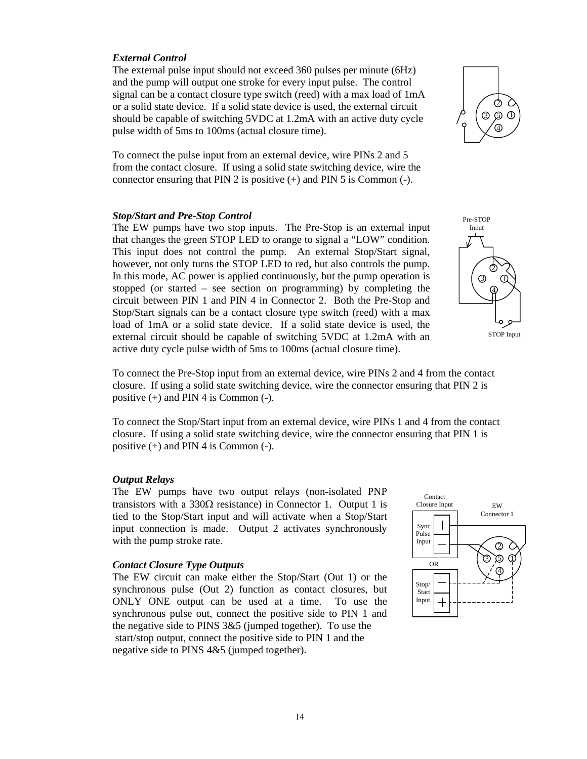#### *External Control*

The external pulse input should not exceed 360 pulses per minute (6Hz) and the pump will output one stroke for every input pulse. The control signal can be a contact closure type switch (reed) with a max load of 1mA or a solid state device. If a solid state device is used, the external circuit should be capable of switching 5VDC at 1.2mA with an active duty cycle pulse width of 5ms to 100ms (actual closure time).

To connect the pulse input from an external device, wire PINs 2 and 5 from the contact closure. If using a solid state switching device, wire the connector ensuring that PIN 2 is positive (+) and PIN 5 is Common (-).

#### *Stop/Start and Pre-Stop Control*

The EW pumps have two stop inputs. The Pre-Stop is an external input that changes the green STOP LED to orange to signal a "LOW" condition. This input does not control the pump. An external Stop/Start signal, however, not only turns the STOP LED to red, but also controls the pump. In this mode, AC power is applied continuously, but the pump operation is stopped (or started – see section on programming) by completing the circuit between PIN 1 and PIN 4 in Connector 2. Both the Pre-Stop and Stop/Start signals can be a contact closure type switch (reed) with a max load of 1mA or a solid state device. If a solid state device is used, the external circuit should be capable of switching 5VDC at 1.2mA with an active duty cycle pulse width of 5ms to 100ms (actual closure time).



3 5 1 4

2

To connect the Pre-Stop input from an external device, wire PINs 2 and 4 from the contact closure. If using a solid state switching device, wire the connector ensuring that PIN 2 is positive  $(+)$  and PIN 4 is Common  $(-)$ .

To connect the Stop/Start input from an external device, wire PINs 1 and 4 from the contact closure. If using a solid state switching device, wire the connector ensuring that PIN 1 is positive (+) and PIN 4 is Common (-).

#### *Output Relays*

The EW pumps have two output relays (non-isolated PNP transistors with a  $330\Omega$  resistance) in Connector 1. Output 1 is tied to the Stop/Start input and will activate when a Stop/Start input connection is made. Output 2 activates synchronously with the pump stroke rate.

#### *Contact Closure Type Outputs*

The EW circuit can make either the Stop/Start (Out 1) or the synchronous pulse (Out 2) function as contact closures, but ONLY ONE output can be used at a time. To use the synchronous pulse out, connect the positive side to PIN 1 and the negative side to PINS 3&5 (jumped together). To use the start/stop output, connect the positive side to PIN 1 and the negative side to PINS 4&5 (jumped together).

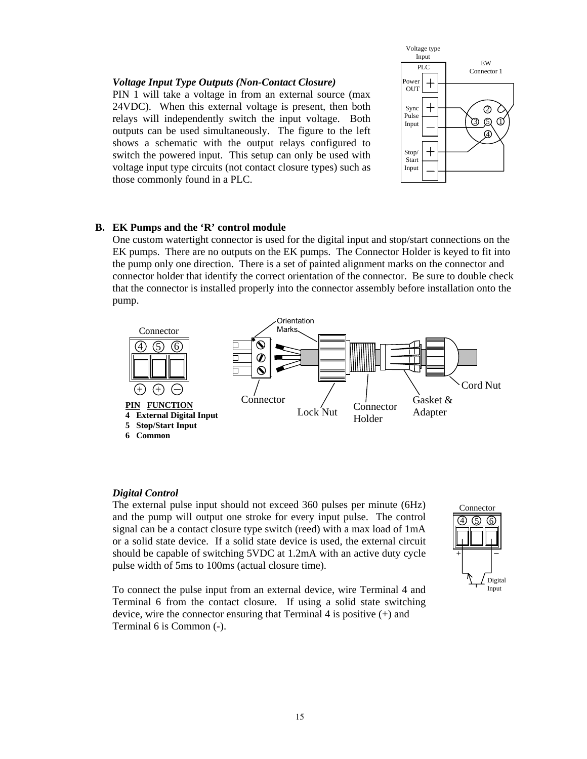#### *Voltage Input Type Outputs (Non-Contact Closure)*

PIN 1 will take a voltage in from an external source (max 24VDC). When this external voltage is present, then both relays will independently switch the input voltage. Both outputs can be used simultaneously. The figure to the left shows a schematic with the output relays configured to switch the powered input. This setup can only be used with voltage input type circuits (not contact closure types) such as those commonly found in a PLC.



#### **B. EK Pumps and the 'R' control module**

One custom watertight connector is used for the digital input and stop/start connections on the EK pumps. There are no outputs on the EK pumps. The Connector Holder is keyed to fit into the pump only one direction. There is a set of painted alignment marks on the connector and connector holder that identify the correct orientation of the connector. Be sure to double check that the connector is installed properly into the connector assembly before installation onto the pump.



#### *Digital Control*

The external pulse input should not exceed 360 pulses per minute (6Hz) and the pump will output one stroke for every input pulse. The control signal can be a contact closure type switch (reed) with a max load of 1mA or a solid state device. If a solid state device is used, the external circuit should be capable of switching 5VDC at 1.2mA with an active duty cycle pulse width of 5ms to 100ms (actual closure time).

To connect the pulse input from an external device, wire Terminal 4 and Terminal 6 from the contact closure. If using a solid state switching device, wire the connector ensuring that Terminal 4 is positive (+) and Terminal 6 is Common (-).

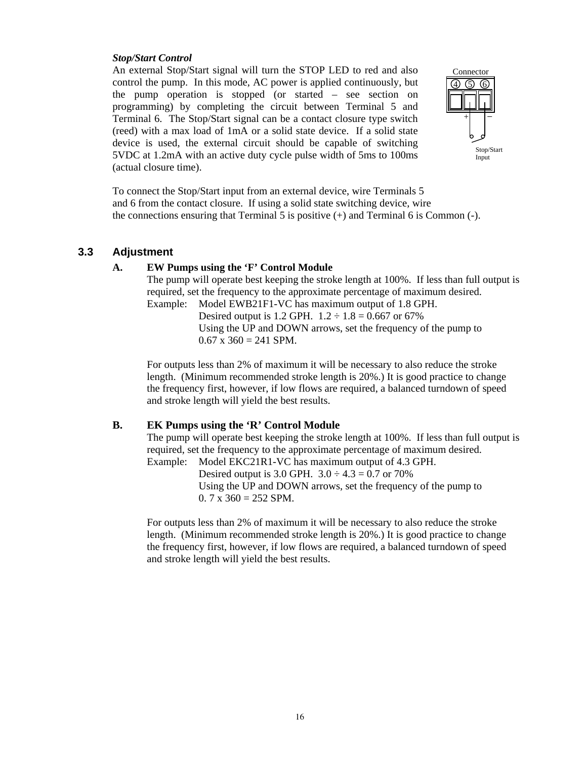#### *Stop/Start Control*

An external Stop/Start signal will turn the STOP LED to red and also control the pump. In this mode, AC power is applied continuously, but the pump operation is stopped (or started – see section on programming) by completing the circuit between Terminal 5 and Terminal 6. The Stop/Start signal can be a contact closure type switch (reed) with a max load of 1mA or a solid state device. If a solid state device is used, the external circuit should be capable of switching 5VDC at 1.2mA with an active duty cycle pulse width of 5ms to 100ms (actual closure time).



To connect the Stop/Start input from an external device, wire Terminals 5 and 6 from the contact closure. If using a solid state switching device, wire the connections ensuring that Terminal 5 is positive  $(+)$  and Terminal 6 is Common  $(-)$ .

#### **3.3 Adjustment**

#### **A. EW Pumps using the 'F' Control Module**

The pump will operate best keeping the stroke length at 100%. If less than full output is required, set the frequency to the approximate percentage of maximum desired.

Example: Model EWB21F1-VC has maximum output of 1.8 GPH. Desired output is 1.2 GPH.  $1.2 \div 1.8 = 0.667$  or 67% Using the UP and DOWN arrows, set the frequency of the pump to  $0.67$  x  $360 = 241$  SPM.

For outputs less than 2% of maximum it will be necessary to also reduce the stroke length. (Minimum recommended stroke length is 20%.) It is good practice to change the frequency first, however, if low flows are required, a balanced turndown of speed and stroke length will yield the best results.

#### **B. EK Pumps using the 'R' Control Module**

The pump will operate best keeping the stroke length at 100%. If less than full output is required, set the frequency to the approximate percentage of maximum desired. Example: Model EKC21R1-VC has maximum output of 4.3 GPH.

Desired output is 3.0 GPH.  $3.0 \div 4.3 = 0.7$  or 70% Using the UP and DOWN arrows, set the frequency of the pump to  $0.7 \times 360 = 252$  SPM.

For outputs less than 2% of maximum it will be necessary to also reduce the stroke length. (Minimum recommended stroke length is 20%.) It is good practice to change the frequency first, however, if low flows are required, a balanced turndown of speed and stroke length will yield the best results.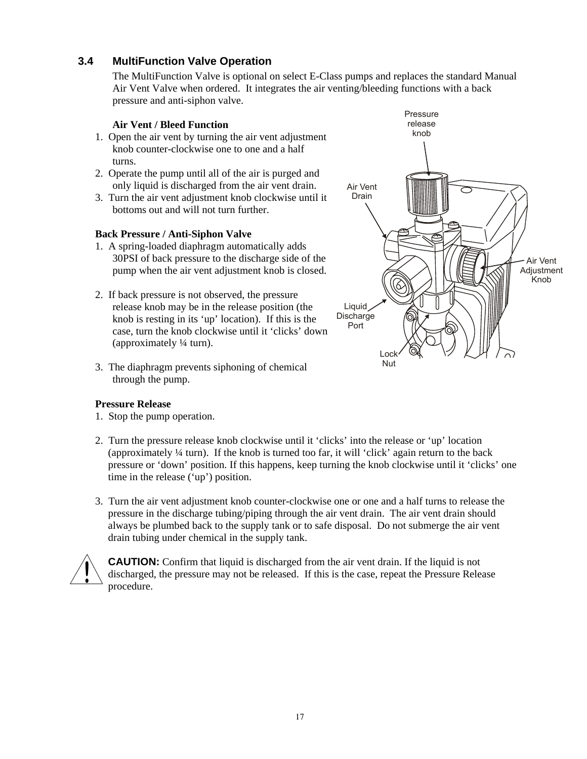# **3.4 MultiFunction Valve Operation**

The MultiFunction Valve is optional on select E-Class pumps and replaces the standard Manual Air Vent Valve when ordered. It integrates the air venting/bleeding functions with a back pressure and anti-siphon valve.

#### **Air Vent / Bleed Function**

- 1. Open the air vent by turning the air vent adjustment knob counter-clockwise one to one and a half turns.
- 2. Operate the pump until all of the air is purged and only liquid is discharged from the air vent drain.
- 3. Turn the air vent adjustment knob clockwise until it bottoms out and will not turn further.

#### **Back Pressure / Anti-Siphon Valve**

- 1. A spring-loaded diaphragm automatically adds 30PSI of back pressure to the discharge side of the pump when the air vent adjustment knob is closed.
- 2. If back pressure is not observed, the pressure release knob may be in the release position (the knob is resting in its 'up' location). If this is the case, turn the knob clockwise until it 'clicks' down (approximately ¼ turn).
- 3. The diaphragm prevents siphoning of chemical through the pump.

#### **Pressure Release**

- 1. Stop the pump operation.
- 2. Turn the pressure release knob clockwise until it 'clicks' into the release or 'up' location (approximately ¼ turn). If the knob is turned too far, it will 'click' again return to the back pressure or 'down' position. If this happens, keep turning the knob clockwise until it 'clicks' one time in the release ('up') position.
- 3. Turn the air vent adjustment knob counter-clockwise one or one and a half turns to release the pressure in the discharge tubing/piping through the air vent drain. The air vent drain should always be plumbed back to the supply tank or to safe disposal. Do not submerge the air vent drain tubing under chemical in the supply tank.



**CAUTION:** Confirm that liquid is discharged from the air vent drain. If the liquid is not discharged, the pressure may not be released. If this is the case, repeat the Pressure Release procedure.

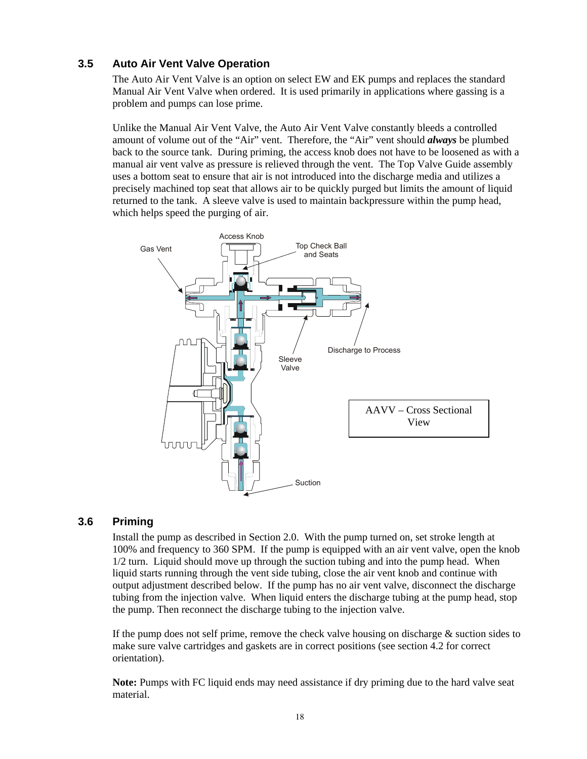# **3.5 Auto Air Vent Valve Operation**

The Auto Air Vent Valve is an option on select EW and EK pumps and replaces the standard Manual Air Vent Valve when ordered. It is used primarily in applications where gassing is a problem and pumps can lose prime.

Unlike the Manual Air Vent Valve, the Auto Air Vent Valve constantly bleeds a controlled amount of volume out of the "Air" vent. Therefore, the "Air" vent should *always* be plumbed back to the source tank. During priming, the access knob does not have to be loosened as with a manual air vent valve as pressure is relieved through the vent. The Top Valve Guide assembly uses a bottom seat to ensure that air is not introduced into the discharge media and utilizes a precisely machined top seat that allows air to be quickly purged but limits the amount of liquid returned to the tank. A sleeve valve is used to maintain backpressure within the pump head, which helps speed the purging of air.



## **3.6 Priming**

Install the pump as described in Section 2.0. With the pump turned on, set stroke length at 100% and frequency to 360 SPM. If the pump is equipped with an air vent valve, open the knob 1/2 turn. Liquid should move up through the suction tubing and into the pump head. When liquid starts running through the vent side tubing, close the air vent knob and continue with output adjustment described below. If the pump has no air vent valve, disconnect the discharge tubing from the injection valve. When liquid enters the discharge tubing at the pump head, stop the pump. Then reconnect the discharge tubing to the injection valve.

If the pump does not self prime, remove the check valve housing on discharge  $\&$  suction sides to make sure valve cartridges and gaskets are in correct positions (see section 4.2 for correct orientation).

**Note:** Pumps with FC liquid ends may need assistance if dry priming due to the hard valve seat material.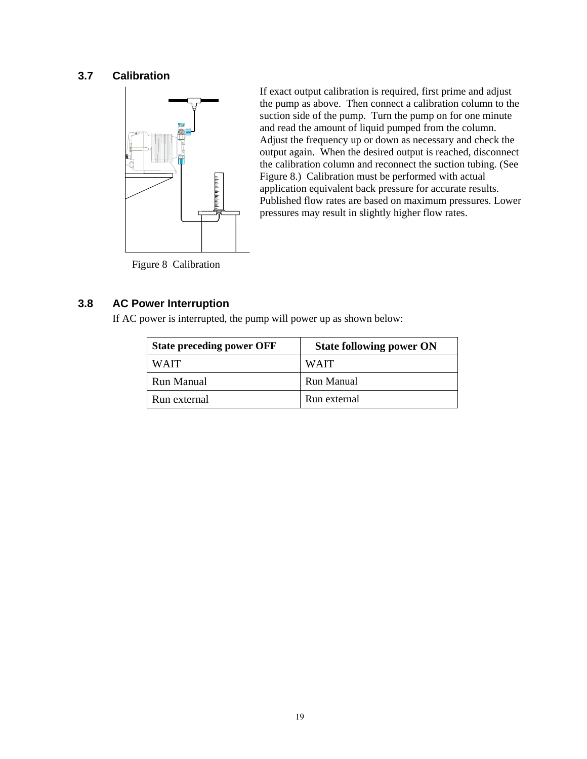# **3.7 Calibration**



If exact output calibration is required, first prime and adjust the pump as above. Then connect a calibration column to the suction side of the pump. Turn the pump on for one minute and read the amount of liquid pumped from the column. Adjust the frequency up or down as necessary and check the output again. When the desired output is reached, disconnect the calibration column and reconnect the suction tubing. (See Figure 8.) Calibration must be performed with actual application equivalent back pressure for accurate results. Published flow rates are based on maximum pressures. Lower pressures may result in slightly higher flow rates.

Figure 8 Calibration

# **3.8 AC Power Interruption**

If AC power is interrupted, the pump will power up as shown below:

| <b>State preceding power OFF</b> | <b>State following power ON</b> |
|----------------------------------|---------------------------------|
| <b>WAIT</b>                      | <b>WAIT</b>                     |
| Run Manual                       | Run Manual                      |
| Run external                     | Run external                    |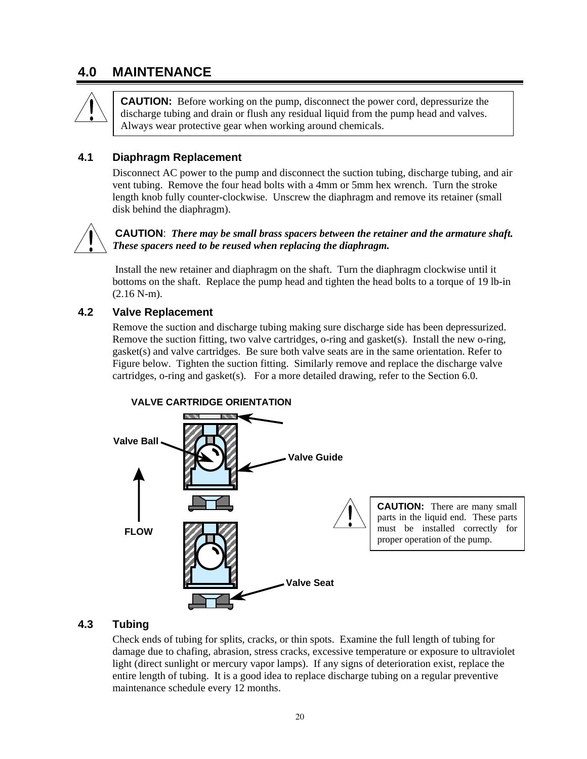# **4.0 MAINTENANCE**



**CAUTION:** Before working on the pump, disconnect the power cord, depressurize the discharge tubing and drain or flush any residual liquid from the pump head and valves. Always wear protective gear when working around chemicals.

### **4.1 Diaphragm Replacement**

Disconnect AC power to the pump and disconnect the suction tubing, discharge tubing, and air vent tubing. Remove the four head bolts with a 4mm or 5mm hex wrench. Turn the stroke length knob fully counter-clockwise. Unscrew the diaphragm and remove its retainer (small disk behind the diaphragm).



#### **CAUTION**: *There may be small brass spacers between the retainer and the armature shaft. These spacers need to be reused when replacing the diaphragm.*

 Install the new retainer and diaphragm on the shaft. Turn the diaphragm clockwise until it bottoms on the shaft. Replace the pump head and tighten the head bolts to a torque of 19 lb-in (2.16 N-m).

### **4.2 Valve Replacement**

Remove the suction and discharge tubing making sure discharge side has been depressurized. Remove the suction fitting, two valve cartridges, o-ring and gasket(s). Install the new o-ring, gasket(s) and valve cartridges. Be sure both valve seats are in the same orientation. Refer to Figure below. Tighten the suction fitting. Similarly remove and replace the discharge valve cartridges, o-ring and gasket(s). For a more detailed drawing, refer to the Section 6.0.



# **4.3 Tubing**

Check ends of tubing for splits, cracks, or thin spots. Examine the full length of tubing for damage due to chafing, abrasion, stress cracks, excessive temperature or exposure to ultraviolet light (direct sunlight or mercury vapor lamps). If any signs of deterioration exist, replace the entire length of tubing. It is a good idea to replace discharge tubing on a regular preventive maintenance schedule every 12 months.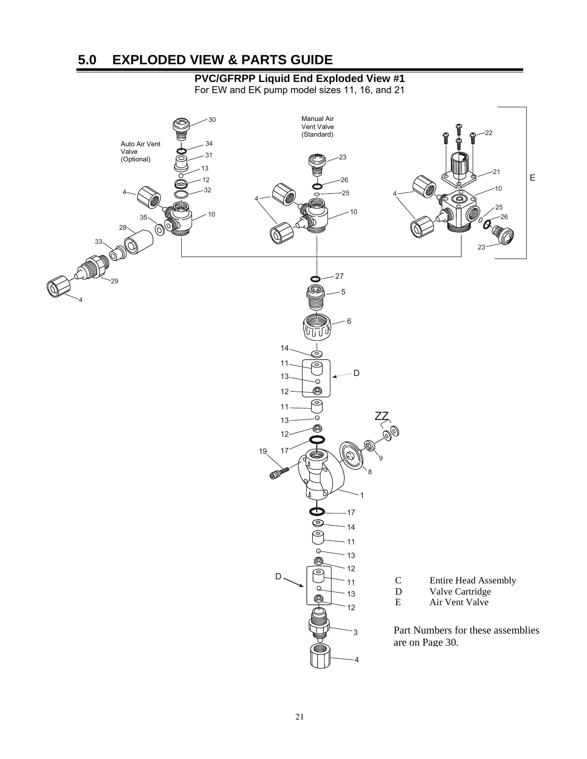# **5.0 EXPLODED VIEW & PARTS GUIDE**

# **PVC/GFRPP Liquid End Exploded View #1**

For EW and EK pump model sizes 11, 16, and 21

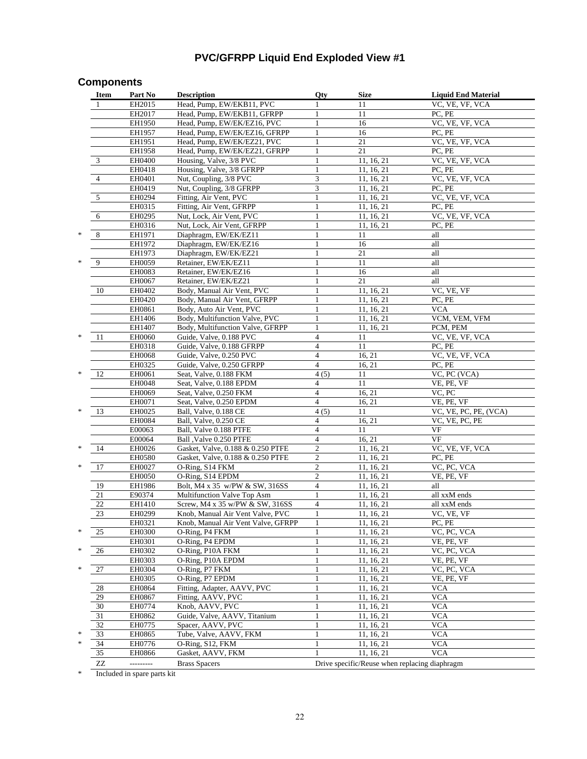# **PVC/GFRPP Liquid End Exploded View #1**

# **Components**

|   | Item                            | Part No          | <b>Description</b>                                            | Qty                      | Size                                          | <b>Liquid End Material</b>   |
|---|---------------------------------|------------------|---------------------------------------------------------------|--------------------------|-----------------------------------------------|------------------------------|
|   | 1                               | EH2015           | Head, Pump, EW/EKB11, PVC                                     | $\mathbf{1}$             | 11                                            | VC, VE, VF, VCA              |
|   |                                 | EH2017           | Head, Pump, EW/EKB11, GFRPP                                   | 1                        | 11                                            | PC, PE                       |
|   |                                 | EH1950           | Head, Pump, EW/EK/EZ16, PVC                                   | 1                        | 16                                            | VC, VE, VF, VCA              |
|   |                                 | EH1957           | Head, Pump, EW/EK/EZ16, GFRPP                                 | 1                        | 16                                            | PC, PE                       |
|   |                                 | EH1951           | Head, Pump, EW/EK/EZ21, PVC                                   | 1                        | 21                                            | VC, VE, VF, VCA              |
|   |                                 | EH1958           | Head, Pump, EW/EK/EZ21, GFRPP                                 | $\mathbf{1}$             | 21                                            | PC, PE                       |
|   | 3                               | EH0400           | Housing, Valve, 3/8 PVC                                       | 1                        | 11, 16, 21                                    | VC, VE, VF, VCA              |
|   |                                 | EH0418           | Housing, Valve, 3/8 GFRPP                                     | 1                        | 11, 16, 21                                    | PC, PE                       |
|   | 4                               | EH0401           | Nut, Coupling, 3/8 PVC                                        | 3                        | 11, 16, 21                                    | VC, VE, VF, VCA              |
|   |                                 | EH0419           | Nut, Coupling, 3/8 GFRPP                                      | 3                        | 11, 16, 21                                    | PC, PE                       |
|   | 5                               | EH0294           | Fitting, Air Vent, PVC                                        | 1                        | 11, 16, 21                                    | VC, VE, VF, VCA              |
|   |                                 | EH0315           | Fitting, Air Vent, GFRPP                                      | 1                        | 11, 16, 21                                    | PC, PE                       |
|   | 6                               | EH0295           | Nut, Lock, Air Vent, PVC                                      | 1                        | 11, 16, 21                                    | VC, VE, VF, VCA              |
|   |                                 | EH0316           | Nut, Lock, Air Vent, GFRPP                                    | 1                        | 11, 16, 21                                    | PC, PE                       |
| * | $\,$ 8 $\,$                     | EH1971           | Diaphragm, EW/EK/EZ11                                         | $\mathbf{1}$             | 11                                            | all                          |
|   |                                 | EH1972           | Diaphragm, EW/EK/EZ16                                         | 1                        | 16                                            | all                          |
|   |                                 | EH1973           | Diaphragm, EW/EK/EZ21                                         | $\mathbf{1}$             | 21                                            | all                          |
| * | 9                               | <b>EH0059</b>    | Retainer, EW/EK/EZ11                                          | $\mathbf{1}$             | 11                                            | all                          |
|   |                                 | EH0083           | Retainer, EW/EK/EZ16                                          | $\mathbf{1}$             | 16                                            | all                          |
|   |                                 | EH0067           | Retainer, EW/EK/EZ21                                          | $\mathbf{1}$             | 21                                            | all                          |
|   | 10                              | EH0402           | Body, Manual Air Vent, PVC                                    |                          | 11, 16, 21                                    | VC, VE, VF                   |
|   |                                 | EH0420           | Body, Manual Air Vent, GFRPP                                  | 1                        | 11, 16, 21                                    | PC, PE                       |
|   |                                 | EH0861           | Body, Auto Air Vent, PVC                                      |                          | 11, 16, 21                                    | <b>VCA</b>                   |
|   |                                 | EH1406           | Body, Multifunction Valve, PVC                                | 1<br>$\mathbf{1}$        | 11, 16, 21<br>11, 16, 21                      | VCM, VEM, VFM<br>PCM, PEM    |
| * | 11                              | EH1407<br>EH0060 | Body, Multifunction Valve, GFRPP<br>Guide, Valve, 0.188 PVC   | 4                        | 11                                            | VC, VE, VF, VCA              |
|   |                                 | EH0318           | Guide, Valve, 0.188 GFRPP                                     | $\overline{4}$           | 11                                            | PC. PE                       |
|   |                                 | EH0068           | Guide, Valve, 0.250 PVC                                       | $\overline{4}$           | 16, 21                                        | VC, VE, VF, VCA              |
|   |                                 | EH0325           | Guide, Valve, 0.250 GFRPP                                     | $\overline{4}$           | 16, 21                                        | PC, PE                       |
| * | 12                              | EH0061           | Seat, Valve, 0.188 FKM                                        | 4(5)                     | 11                                            | VC, PC (VCA)                 |
|   |                                 | EH0048           | Seat, Valve, 0.188 EPDM                                       | $\overline{4}$           | 11                                            | VE, PE, VF                   |
|   |                                 | EH0069           | Seat, Valve, 0.250 FKM                                        | $\overline{4}$           | 16, 21                                        | VC, PC                       |
|   |                                 | EH0071           | Seat, Valve, 0.250 EPDM                                       | $\overline{4}$           | 16, 21                                        | VE, PE, VF                   |
| * | 13                              | EH0025           | Ball, Valve, 0.188 CE                                         | 4(5)                     | 11                                            | VC, VE, PC, PE, (VCA)        |
|   |                                 | <b>EH0084</b>    | Ball, Valve, 0.250 CE                                         | $\overline{4}$           | 16, 21                                        | VC, VE, PC, PE               |
|   |                                 | E00063           | Ball, Valve 0.188 PTFE                                        | $\overline{4}$           | 11                                            | VF                           |
|   |                                 | E00064           | Ball , Valve 0.250 PTFE                                       | $\overline{4}$           | 16, 21                                        | VF                           |
| ∗ | 14                              | EH0026           | Gasket, Valve, 0.188 & 0.250 PTFE                             | $\overline{c}$           | 11, 16, 21                                    | VC, VE, VF, VCA              |
|   |                                 | EH0580           | Gasket, Valve, 0.188 & 0.250 PTFE                             | 2                        | 11, 16, 21                                    | PC, PE                       |
| * | 17                              | EH0027           | O-Ring, S14 FKM                                               | $\overline{c}$           | 11, 16, 21                                    | VC, PC, VCA                  |
|   |                                 | EH0050           | O-Ring, S14 EPDM                                              | $\overline{c}$           | 11, 16, 21                                    | VE, PE, VF                   |
|   | 19<br>21                        | EH1986           | Bolt, M4 x 35 w/PW & SW, 316SS<br>Multifunction Valve Top Asm | $\overline{4}$<br>1      | 11, 16, 21                                    | all                          |
|   | 22                              | E90374<br>EH1410 | Screw, M4 x 35 w/PW & SW, 316SS                               | $\overline{\mathcal{L}}$ | 11, 16, 21<br>11, 16, 21                      | all xxM ends<br>all xxM ends |
|   | 23                              | EH0299           | Knob, Manual Air Vent Valve, PVC                              | $\mathbf{1}$             | 11, 16, 21                                    | VC, VE, VF                   |
|   |                                 | EH0321           | Knob, Manual Air Vent Valve, GFRPP                            | 1                        | 11, 16, 21                                    | PC, PE                       |
| * | 25                              | EH0300           | O-Ring, P4 FKM                                                | 1                        | 11, 16, 21                                    | VC, PC, VCA                  |
|   |                                 | EH0301           | O-Ring, P4 EPDM                                               | 1                        | 11, 16, 21                                    | VE, PE, VF                   |
| * | 26                              | EH0302           | O-Ring, P10A FKM                                              | $\mathbf{1}$             | 11, 16, 21                                    | VC, PC, VCA                  |
|   |                                 | EH0303           | O-Ring, P10A EPDM                                             | 1                        | 11, 16, 21                                    | VE, PE, VF                   |
| * | $27\,$                          | EH0304           | O-Ring, P7 FKM                                                | 1                        | 11, 16, 21                                    | VC, PC, VCA                  |
|   |                                 | EH0305           | O-Ring, P7 EPDM                                               |                          | 11, 16, 21                                    | VE, PE, VF                   |
|   | 28                              | EH0864           | Fitting, Adapter, AAVV, PVC                                   | 1                        | 11, 16, 21                                    | <b>VCA</b>                   |
|   | 29                              | EH0867           | Fitting, AAVV, PVC                                            | 1                        | 11, 16, 21                                    | <b>VCA</b>                   |
|   | 30                              | EH0774           | Knob, AAVV, PVC                                               |                          | 11, 16, 21                                    | <b>VCA</b>                   |
|   | 31                              | EH0862           | Guide, Valve, AAVV, Titanium                                  | 1                        | 11, 16, 21                                    | <b>VCA</b>                   |
|   | 32                              | EH0775           | Spacer, AAVV, PVC                                             | 1                        | 11, 16, 21                                    | <b>VCA</b>                   |
| * | 33                              | EH0865           | Tube, Valve, AAVV, FKM                                        |                          | 11, 16, 21                                    | <b>VCA</b>                   |
| * | 34                              | EH0776           | O-Ring, S12, FKM                                              | $\mathbf{1}$             | 11, 16, 21                                    | <b>VCA</b>                   |
|   | 35                              | EH0866           | Gasket, AAVV, FKM                                             |                          | 11, 16, 21                                    | <b>VCA</b>                   |
|   | $\ensuremath{\text{ZZ}}\xspace$ | ---------        | <b>Brass Spacers</b>                                          |                          | Drive specific/Reuse when replacing diaphragm |                              |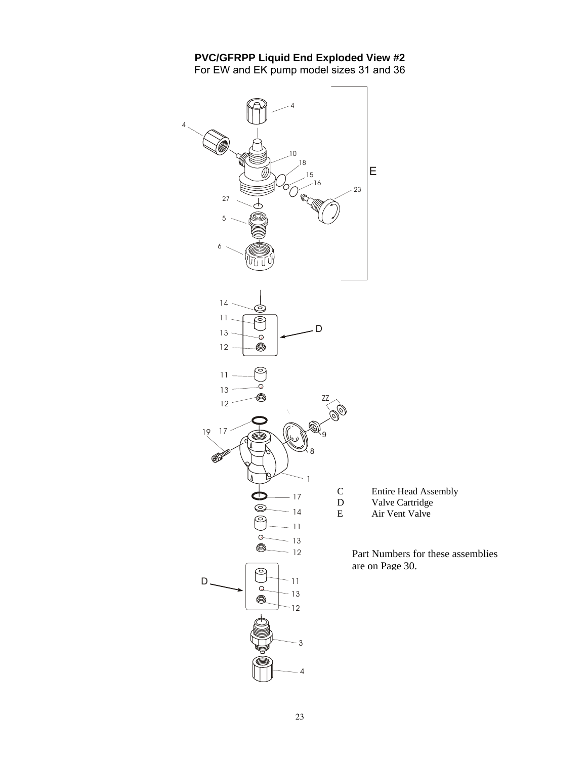#### **PVC/GFRPP Liquid End Exploded View #2**  For EW and EK pump model sizes 31 and 36



- D Valve Cartridge
- E Air Vent Valve

Part Numbers for these assemblies are on Page 30.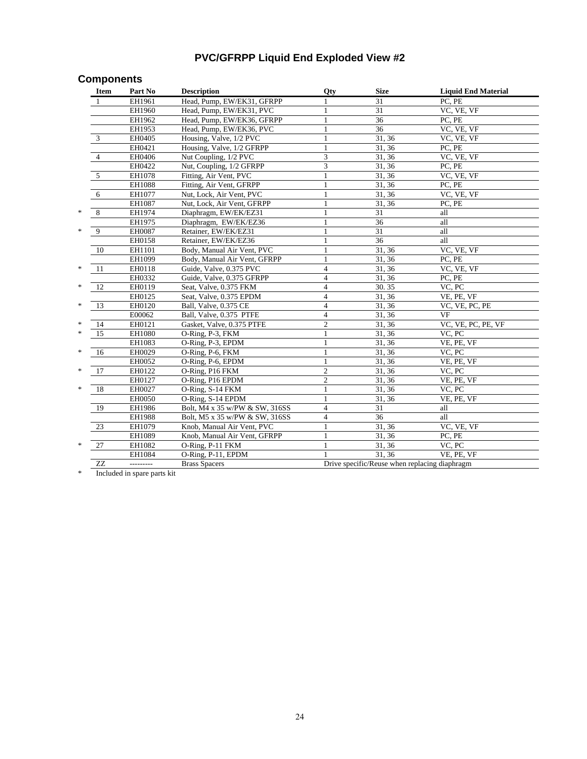# **PVC/GFRPP Liquid End Exploded View #2**

# **Components**

|                     | Item | Part No       | <b>Description</b>             | Qty                     | <b>Size</b>                                   | <b>Liquid End Material</b> |
|---------------------|------|---------------|--------------------------------|-------------------------|-----------------------------------------------|----------------------------|
|                     |      | EH1961        | Head, Pump, EW/EK31, GFRPP     |                         | 31                                            | PC, PE                     |
|                     |      | EH1960        | Head, Pump, EW/EK31, PVC       |                         | 31                                            | VC, VE, VF                 |
|                     |      | EH1962        | Head, Pump, EW/EK36, GFRPP     | 1                       | $\overline{36}$                               | PC, PE                     |
|                     |      | EH1953        | Head, Pump, EW/EK36, PVC       | 1                       | $\overline{36}$                               | VC, VE, VF                 |
| 3                   |      | EH0405        | Housing, Valve, 1/2 PVC        | 1                       | 31, 36                                        | VC, VE, VF                 |
|                     |      | EH0421        | Housing, Valve, 1/2 GFRPP      |                         | 31, 36                                        | PC, PE                     |
| 4                   |      | EH0406        | Nut Coupling, 1/2 PVC          | 3                       | 31, 36                                        | VC, VE, VF                 |
|                     |      | EH0422        | Nut, Coupling, 1/2 GFRPP       | 3                       | 31, 36                                        | PC, PE                     |
| 5                   |      | EH1078        | Fitting, Air Vent, PVC         | 1                       | 31, 36                                        | VC, VE, VF                 |
|                     |      | EH1088        | Fitting, Air Vent, GFRPP       | $\mathbf{1}$            | 31, 36                                        | PC, PE                     |
| 6                   |      | EH1077        | Nut, Lock, Air Vent, PVC       | 1                       | 31, 36                                        | VC, VE, VF                 |
|                     |      | EH1087        | Nut, Lock, Air Vent, GFRPP     | 1                       | 31, 36                                        | PC, PE                     |
| *,<br>8             |      | EH1974        | Diaphragm, EW/EK/EZ31          |                         | 31                                            | all                        |
|                     |      | EH1975        | Diaphragm, EW/EK/EZ36          |                         | $\overline{36}$                               | all                        |
| $\overline{9}$<br>* |      | <b>EH0087</b> | Retainer, EW/EK/EZ31           | 1                       | $\overline{31}$                               | all                        |
|                     |      | EH0158        | Retainer, EW/EK/EZ36           | 1                       | 36                                            | all                        |
| 10                  |      | EH1101        | Body, Manual Air Vent, PVC     | 1                       | 31, 36                                        | VC, VE, VF                 |
|                     |      | EH1099        | Body, Manual Air Vent, GFRPP   | 1                       | 31, 36                                        | PC, PE                     |
| *<br>11             |      | EH0118        | Guide, Valve, 0.375 PVC        | $\overline{4}$          | 31, 36                                        | VC, VE, VF                 |
|                     |      | EH0332        | Guide, Valve, 0.375 GFRPP      | $\overline{4}$          | 31, 36                                        | PC, PE                     |
| 12<br>*             |      | EH0119        | Seat, Valve, 0.375 FKM         | $\overline{4}$          | 30.35                                         | VC, PC                     |
|                     |      | EH0125        | Seat, Valve, 0.375 EPDM        | $\overline{4}$          | 31, 36                                        | VE, PE, VF                 |
| *,<br>13            |      | EH0120        | Ball, Valve, 0.375 CE          | $\overline{4}$          | 31, 36                                        | VC, VE, PC, PE             |
|                     |      | E00062        | Ball, Valve, 0.375 PTFE        | $\overline{4}$          | 31, 36                                        | VF                         |
| *<br>14             |      | EH0121        | Gasket, Valve, 0.375 PTFE      | $\overline{c}$          | 31,36                                         | VC, VE, PC, PE, VF         |
| ×.<br>15            |      | EH1080        | O-Ring, P-3, FKM               | $\mathbf{1}$            | 31, 36                                        | VC, PC                     |
|                     |      | EH1083        | O-Ring, P-3, EPDM              | 1                       | 31, 36                                        | VE, PE, VF                 |
| *<br>16             |      | EH0029        | O-Ring, P-6, FKM               |                         | 31, 36                                        | VC, PC                     |
|                     |      | EH0052        | O-Ring, P-6, EPDM              |                         | 31, 36                                        | VE, PE, VF                 |
| *<br>17             |      | EH0122        | O-Ring, P16 FKM                | $\overline{c}$          | 31, 36                                        | VC, PC                     |
|                     |      | EH0127        | O-Ring, P16 EPDM               | $\mathfrak{2}$          | 31, 36                                        | VE, PE, VF                 |
| *<br>18             |      | EH0027        | O-Ring, S-14 FKM               | $\mathbf{1}$            | 31, 36                                        | VC, PC                     |
|                     |      | EH0050        | O-Ring, S-14 EPDM              | $\mathbf{1}$            | 31, 36                                        | VE, PE, VF                 |
| 19                  |      | EH1986        | Bolt, M4 x 35 w/PW & SW, 316SS | $\overline{4}$          | 31                                            | all                        |
|                     |      | EH1988        | Bolt, M5 x 35 w/PW & SW, 316SS | $\overline{\mathbf{4}}$ | 36                                            | all                        |
| 23                  |      | EH1079        | Knob, Manual Air Vent, PVC     | $\mathbf{1}$            | 31, 36                                        | VC, VE, VF                 |
|                     |      | EH1089        | Knob, Manual Air Vent, GFRPP   | $\mathbf{1}$            | 31, 36                                        | PC, PE                     |
| *,<br>27            |      | EH1082        | O-Ring, P-11 FKM               | $\mathbf{1}$            | 31, 36                                        | VC, PC                     |
|                     |      | EH1084        | O-Ring, P-11, EPDM             | 1                       | 31, 36                                        | VE, PE, VF                 |
|                     | ZZ   | ---------     | <b>Brass Spacers</b>           |                         | Drive specific/Reuse when replacing diaphragm |                            |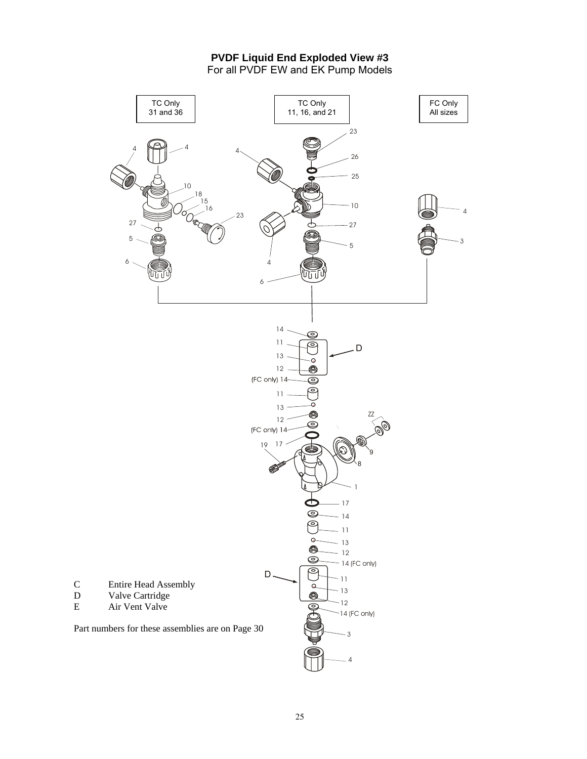**PVDF Liquid End Exploded View #3**  For all PVDF EW and EK Pump Models

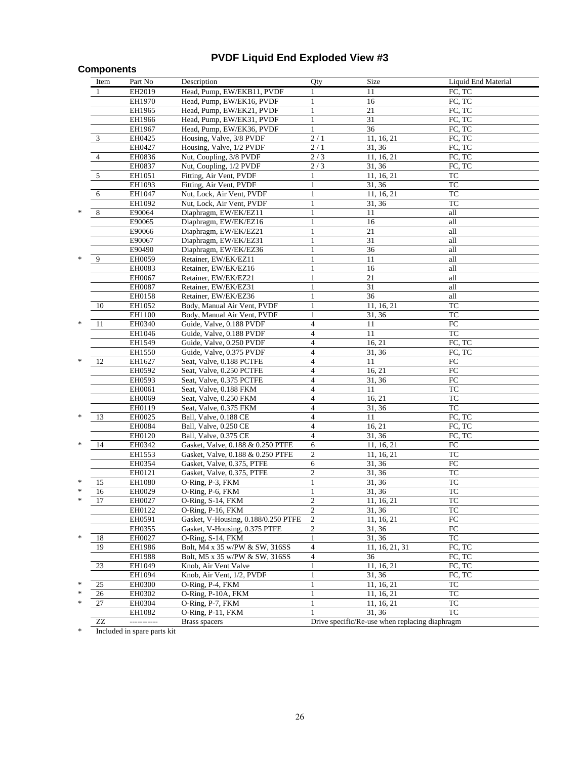# **PVDF Liquid End Exploded View #3**

### **Components**

|        | Item            | Part No       | Description                         | Qty              | Size                                           | Liquid End Material |
|--------|-----------------|---------------|-------------------------------------|------------------|------------------------------------------------|---------------------|
|        | $\mathbf{1}$    | EH2019        | Head, Pump, EW/EKB11, PVDF          | 1                | 11                                             | FC, TC              |
|        |                 | EH1970        | Head, Pump, EW/EK16, PVDF           | $\mathbf{1}$     | 16                                             | FC, TC              |
|        |                 | EH1965        | Head, Pump, EW/EK21, PVDF           | $\mathbf{1}$     | 21                                             | FC, TC              |
|        |                 | EH1966        | Head, Pump, EW/EK31, PVDF           | 1                | 31                                             | FC, TC              |
|        |                 | EH1967        | Head, Pump, EW/EK36, PVDF           | $\mathbf{1}$     | 36                                             | FC, TC              |
|        | 3               | EH0425        | Housing, Valve, 3/8 PVDF            | 2/1              | 11, 16, 21                                     | FC, TC              |
|        |                 | EH0427        | Housing, Valve, 1/2 PVDF            | $\overline{2}/1$ | 31, 36                                         | FC, TC              |
|        | $\overline{4}$  | EH0836        | Nut, Coupling, 3/8 PVDF             | 2/3              | 11, 16, 21                                     | FC, TC              |
|        |                 | EH0837        | Nut, Coupling, 1/2 PVDF             | 2/3              | 31, 36                                         | FC, TC              |
|        | 5               | EH1051        | Fitting, Air Vent, PVDF             |                  | 11, 16, 21                                     | TC                  |
|        |                 | EH1093        | Fitting, Air Vent, PVDF             | 1                | 31, 36                                         | TC                  |
|        | 6               | EH1047        | Nut, Lock, Air Vent, PVDF           | 1                | 11, 16, 21                                     | ${\rm TC}$          |
|        |                 | EH1092        | Nut, Lock, Air Vent, PVDF           | 1                | 31, 36                                         | <b>TC</b>           |
| *      | 8               | E90064        | Diaphragm, EW/EK/EZ11               | 1                | 11                                             | all                 |
|        |                 | E90065        | Diaphragm, EW/EK/EZ16               | $\mathbf{1}$     | 16                                             | all                 |
|        |                 | E90066        | Diaphragm, EW/EK/EZ21               | 1                | 21                                             | all                 |
|        |                 | E90067        | Diaphragm, EW/EK/EZ31               | 1                | 31                                             | all                 |
|        |                 | E90490        | Diaphragm, EW/EK/EZ36               | 1                | 36                                             | all                 |
|        | 9               | EH0059        | Retainer, EW/EK/EZ11                |                  | 11                                             | all                 |
|        |                 | EH0083        | Retainer, EW/EK/EZ16                |                  | 16                                             | all                 |
|        |                 | EH0067        | Retainer, EW/EK/EZ21                | 1                | 21                                             | all                 |
|        |                 | <b>EH0087</b> | Retainer, EW/EK/EZ31                |                  | 31                                             | all                 |
|        |                 | EH0158        | Retainer, EW/EK/EZ36                |                  | 36                                             | all                 |
|        | 10              | EH1052        | Body, Manual Air Vent, PVDF         | 1                | 11, 16, 21                                     | TC                  |
|        |                 | EH1100        | Body, Manual Air Vent, PVDF         | 1                | 31, 36                                         | TC                  |
| *      | 11              | EH0340        | Guide, Valve, 0.188 PVDF            | $\overline{4}$   | 11                                             | ${\rm FC}$          |
|        |                 | EH1046        | Guide, Valve, 0.188 PVDF            | 4                | 11                                             | TC                  |
|        |                 | EH1549        | Guide, Valve, 0.250 PVDF            | $\overline{4}$   | 16, 21                                         | FC, TC              |
|        |                 | EH1550        | Guide, Valve, 0.375 PVDF            | $\overline{4}$   | 31, 36                                         | FC, TC              |
| *      | 12              | EH1627        | Seat, Valve, 0.188 PCTFE            | $\overline{4}$   | 11                                             | ${\rm FC}$          |
|        |                 | EH0592        | Seat, Valve, 0.250 PCTFE            | $\overline{4}$   | 16, 21                                         | ${\rm FC}$          |
|        |                 | EH0593        | Seat, Valve, 0.375 PCTFE            | $\overline{4}$   | 31, 36                                         | ${\rm FC}$          |
|        |                 | EH0061        | Seat, Valve, 0.188 FKM              | $\overline{4}$   | 11                                             | <b>TC</b>           |
|        |                 | EH0069        | Seat, Valve, 0.250 FKM              | $\overline{4}$   | 16, 21                                         | <b>TC</b>           |
|        |                 | EH0119        | Seat, Valve, 0.375 FKM              | 4                | 31, 36                                         | TC                  |
| ∗      | 13              | EH0025        | Ball, Valve, 0.188 CE               | 4                | 11                                             | FC, TC              |
|        |                 | EH0084        | Ball, Valve, 0.250 CE               | $\overline{4}$   | 16, 21                                         | FC, TC              |
|        |                 | EH0120        | Ball, Valve, 0.375 CE               | $\overline{4}$   | 31, 36                                         | FC, TC              |
| ∗      | 14              | EH0342        | Gasket, Valve, 0.188 & 0.250 PTFE   | 6                | 11, 16, 21                                     | ${\rm FC}$          |
|        |                 | EH1553        | Gasket, Valve, 0.188 & 0.250 PTFE   | $\sqrt{2}$       | 11, 16, 21                                     | TC                  |
|        |                 | EH0354        | Gasket, Valve, 0.375, PTFE          | 6                | 31, 36                                         | ${\rm FC}$          |
|        |                 | EH0121        | Gasket, Valve, 0.375, PTFE          | $\overline{c}$   | 31, 36                                         | <b>TC</b>           |
| *      | 15              | EH1080        | O-Ring, P-3, FKM                    | 1                | 31, 36                                         | ${\rm TC}$          |
| *      | 16              | EH0029        | O-Ring, P-6, FKM                    | $\mathbf{1}$     | 31, 36                                         | <b>TC</b>           |
| *      | 17              | EH0027        | O-Ring, S-14, FKM                   | $\mathbf{2}$     | 11, 16, 21                                     | TC                  |
|        |                 | EH0122        | O-Ring, P-16, FKM                   | $\mathfrak{2}$   | 31, 36                                         | TC                  |
|        |                 | EH0591        | Gasket, V-Housing, 0.188/0.250 PTFE | $\mathfrak{2}$   | 11, 16, 21                                     | ${\rm FC}$          |
|        |                 | EH0355        | Gasket, V-Housing, 0.375 PTFE       | $\sqrt{2}$       | 31, 36                                         | ${\rm FC}$          |
| *      | 18              | EH0027        | O-Ring, S-14, FKM                   | 1                | 31, 36                                         | <b>TC</b>           |
|        | 19              | EH1986        | Bolt, M4 x 35 w/PW & SW, 316SS      | $\overline{4}$   | 11, 16, 21, 31                                 | FC, TC              |
|        |                 | EH1988        | Bolt, M5 x 35 w/PW & SW, 316SS      | $\overline{4}$   | 36                                             | FC, TC              |
|        | 23              | EH1049        | Knob, Air Vent Valve                | 1                | 11, 16, 21                                     | FC, TC              |
|        |                 | EH1094        | Knob, Air Vent, 1/2, PVDF           | 1                | 31, 36                                         | FC, TC              |
| *      | 25              | EH0300        | O-Ring, P-4, FKM                    | 1                | 11, 16, 21                                     | TC                  |
| ∗<br>* | 26              | EH0302        | O-Ring, P-10A, FKM                  | $\mathbf{1}$     | 11, 16, 21                                     | TC                  |
|        | 27              | EH0304        | O-Ring, P-7, FKM                    | 1                | 11, 16, 21                                     | TC                  |
|        |                 | EH1082        | O-Ring, P-11, FKM                   |                  | 31, 36                                         | TC                  |
|        | $\overline{ZZ}$ | -----------   | <b>Brass spacers</b>                |                  | Drive specific/Re-use when replacing diaphragm |                     |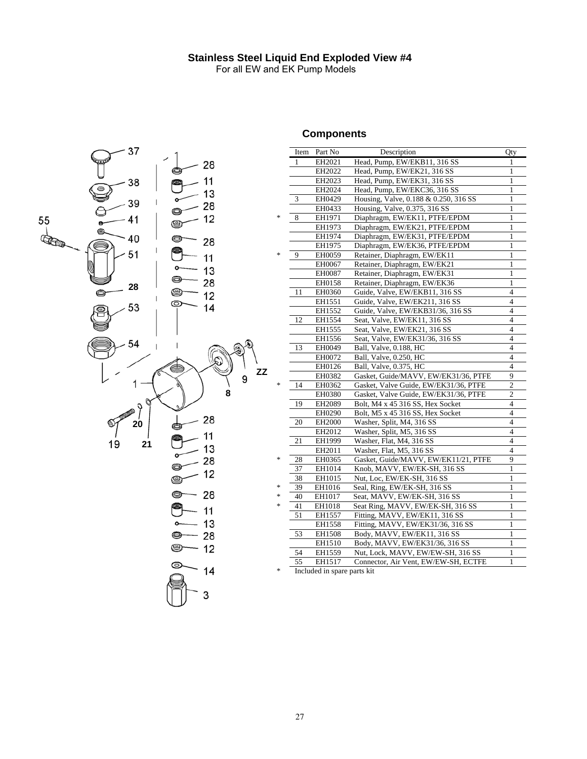### **Stainless Steel Liquid End Exploded View #4**

For all EW and EK Pump Models



# **Components**

|          |                                   |              | Item Part No                | Description                           | Qty            |
|----------|-----------------------------------|--------------|-----------------------------|---------------------------------------|----------------|
| 28       |                                   | $\mathbf{1}$ | EH2021                      | Head, Pump, EW/EKB11, 316 SS          | $\mathbf{1}$   |
| Ŋ        |                                   |              | EH2022                      | Head, Pump, EW/EK21, 316 SS           | 1              |
| 11       |                                   |              | EH2023                      | Head, Pump, EW/EK31, 316 SS           | $\mathbf{1}$   |
| 13       |                                   |              | EH2024                      | Head, Pump, EW/EKC36, 316 SS          | 1              |
|          |                                   | 3            | EH0429                      | Housing, Valve, 0.188 & 0.250, 316 SS | 1              |
| 28       |                                   |              | EH0433                      | Housing, Valve, 0.375, 316 SS         | $\mathbf{1}$   |
| 12       | 永                                 | 8            | EH1971                      | Diaphragm, EW/EK11, PTFE/EPDM         | 1              |
|          |                                   |              | EH1973                      | Diaphragm, EW/EK21, PTFE/EPDM         | $\mathbf{1}$   |
| ⋑        |                                   |              | EH1974                      | Diaphragm, EW/EK31, PTFE/EPDM         | 1              |
| 28       |                                   |              | EH1975                      | Diaphragm, EW/EK36, PTFE/EPDM         | $\mathbf{1}$   |
| 11       | *                                 | 9            | EH0059                      | Retainer, Diaphragm, EW/EK11          | 1              |
|          |                                   |              | EH0067                      | Retainer, Diaphragm, EW/EK21          | 1              |
| 13       |                                   |              | EH0087                      | Retainer, Diaphragm, EW/EK31          | 1              |
| €<br>28  |                                   |              | EH0158                      | Retainer, Diaphragm, EW/EK36          | $\mathbf{1}$   |
| J<br>12  |                                   | 11           | EH0360                      | Guide, Valve, EW/EKB11, 316 SS        | $\overline{4}$ |
|          |                                   |              | EH1551                      | Guide, Valve, EW/EK211, 316 SS        | $\overline{4}$ |
| 14       |                                   |              | EH1552                      | Guide, Valve, EW/EKB31/36, 316 SS     | $\overline{4}$ |
|          |                                   | 12           | EH1554                      | Seat, Valve, EW/EK11, 316 SS          | 4              |
|          |                                   |              | EH1555                      | Seat, Valve, EW/EK21, 316 SS          | $\overline{4}$ |
|          |                                   |              | EH1556                      | Seat, Valve, EW/EK31/36, 316 SS       | $\overline{4}$ |
|          |                                   | 13           | EH0049                      | Ball, Valve, 0.188, HC                | $\overline{4}$ |
|          |                                   |              | EH0072                      | Ball, Valve, 0.250, HC                | $\overline{4}$ |
| ZZ       |                                   |              | EH0126                      | Ball, Valve, 0.375, HC                | $\overline{4}$ |
|          |                                   |              | EH0382                      | Gasket, Guide/MAVV, EW/EK31/36, PTFE  | 9              |
|          | $\frac{d\mathbf{x}}{d\mathbf{x}}$ | 14           | EH0362                      | Gasket, Valve Guide, EW/EK31/36, PTFE | $\overline{c}$ |
| 8        |                                   |              | EH0380                      | Gasket, Valve Guide, EW/EK31/36, PTFE | $\overline{c}$ |
|          |                                   | 19           | EH2089                      | Bolt, M4 x 45 316 SS, Hex Socket      | $\overline{4}$ |
|          |                                   |              | EH0290                      | Bolt, M5 x 45 316 SS, Hex Socket      | $\overline{4}$ |
| 28<br>Ŋ  |                                   | 20           | EH2000                      | Washer, Split, M4, 316 SS             | $\overline{4}$ |
| 11<br>Đ. |                                   |              | EH2012                      | Washer, Split, M5, 316 SS             | $\overline{4}$ |
|          |                                   | $21\,$       | EH1999                      | Washer, Flat, M4, 316 SS              | $\overline{4}$ |
| 13       |                                   |              | EH2011                      | Washer, Flat, M5, 316 SS              | $\overline{4}$ |
| 28       | $\frac{d\mathbf{r}}{d\mathbf{r}}$ | 28           | EH0365                      | Gasket, Guide/MAVV, EW/EK11/21, PTFE  | 9              |
| 12       |                                   | 37           | EH1014                      | Knob, MAVV, EW/EK-SH, 316 SS          | 1              |
|          |                                   | 38           | EH1015                      | Nut, Loc, EW/EK-SH, 316 SS            | 1              |
|          | *                                 | 39           | EH1016                      | Seal, Ring, EW/EK-SH, 316 SS          | 1              |
| 28<br>3  | $\ast$                            | 40           | EH1017                      | Seat, MAVV, EW/EK-SH, 316 SS          | 1              |
| 11       | *.                                | 41           | EH1018                      | Seat Ring, MAVV, EW/EK-SH, 316 SS     | 1              |
|          |                                   | 51           | EH1557                      | Fitting, MAVV, EW/EK11, 316 SS        | $\mathbf{1}$   |
| 13       |                                   |              | EH1558                      | Fitting, MAVV, EW/EK31/36, 316 SS     | $\mathbf{1}$   |
| 28       |                                   | 53           | EH1508                      | Body, MAVV, EW/EK11, 316 SS           | $\mathbf{1}$   |
| 12       |                                   |              | EH1510                      | Body, MAVV, EW/EK31/36, 316 SS        | $\mathbf{1}$   |
|          |                                   | 54           | EH1559                      | Nut, Lock, MAVV, EW/EW-SH, 316 SS     | 1              |
| ⋑        |                                   | 55           | EH1517                      | Connector, Air Vent, EW/EW-SH, ECTFE  | 1              |
| 14       |                                   |              | Included in engre narte kit |                                       |                |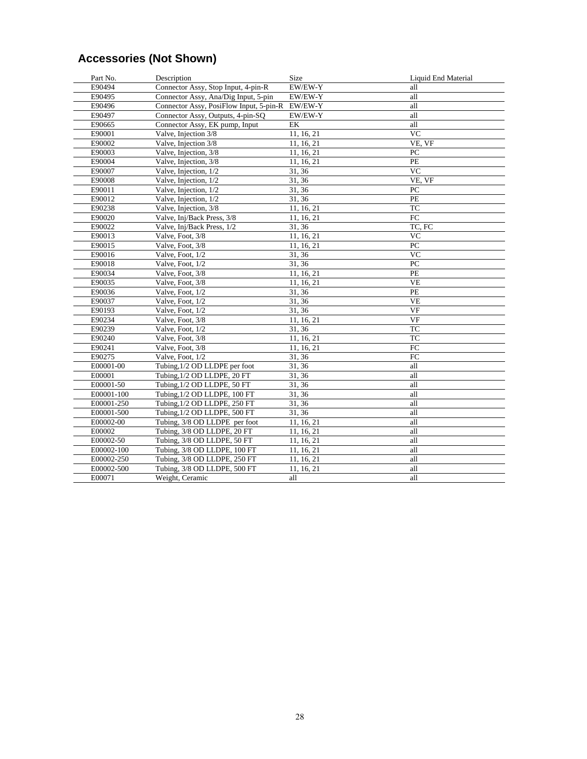# **Accessories (Not Shown)**

| Part No.   | Description                             | <b>Size</b> | Liquid End Material |
|------------|-----------------------------------------|-------------|---------------------|
| E90494     | Connector Assy, Stop Input, 4-pin-R     | EW/EW-Y     | all                 |
| E90495     | Connector Assy, Ana/Dig Input, 5-pin    | EW/EW-Y     | all                 |
| E90496     | Connector Assy, PosiFlow Input, 5-pin-R | EW/EW-Y     | all                 |
| E90497     | Connector Assy, Outputs, 4-pin-SQ       | EW/EW-Y     | all                 |
| E90665     | Connector Assy, EK pump, Input          | EK          | all                 |
| E90001     | Valve, Injection 3/8                    | 11, 16, 21  | <b>VC</b>           |
| E90002     | Valve, Injection 3/8                    | 11, 16, 21  | VE, VF              |
| E90003     | Valve, Injection, 3/8                   | 11, 16, 21  | PC                  |
| E90004     | Valve, Injection, 3/8                   | 11, 16, 21  | PE                  |
| E90007     | Valve, Injection, 1/2                   | 31, 36      | <b>VC</b>           |
| E90008     | Valve, Injection, 1/2                   | 31, 36      | VE, VF              |
| E90011     | Valve, Injection, 1/2                   | 31, 36      | PC                  |
| E90012     | Valve, Injection, 1/2                   | 31, 36      | $\rm PE$            |
| E90238     | Valve, Injection, 3/8                   | 11, 16, 21  | <b>TC</b>           |
| E90020     | Valve, Inj/Back Press, 3/8              | 11, 16, 21  | FC                  |
| E90022     | Valve, Inj/Back Press, 1/2              | 31, 36      | TC, FC              |
| E90013     | Valve, Foot, 3/8                        | 11, 16, 21  | <b>VC</b>           |
| E90015     | Valve, Foot, 3/8                        | 11, 16, 21  | PC                  |
| E90016     | Valve, Foot, 1/2                        | 31, 36      | <b>VC</b>           |
| E90018     | Valve, Foot, 1/2                        | 31, 36      | PC                  |
| E90034     | Valve, Foot, 3/8                        | 11, 16, 21  | PE                  |
| E90035     | Valve, Foot, 3/8                        | 11, 16, 21  | VE                  |
| E90036     | Valve, Foot, 1/2                        | 31, 36      | PE                  |
| E90037     | Valve, Foot, 1/2                        | 31, 36      | <b>VE</b>           |
| E90193     | Valve, Foot, 1/2                        | 31, 36      | VF                  |
| E90234     | Valve, Foot, 3/8                        | 11, 16, 21  | <b>VF</b>           |
| E90239     | Valve, Foot, 1/2                        | 31, 36      | <b>TC</b>           |
| E90240     | Valve, Foot, 3/8                        | 11, 16, 21  | TC                  |
| E90241     | Valve, Foot, 3/8                        | 11, 16, 21  | ${\rm FC}$          |
| E90275     | Valve, Foot, 1/2                        | 31,36       | FC                  |
| E00001-00  | Tubing, 1/2 OD LLDPE per foot           | 31, 36      | all                 |
| E00001     | Tubing, 1/2 OD LLDPE, 20 FT             | 31, 36      | all                 |
| E00001-50  | Tubing, 1/2 OD LLDPE, 50 FT             | 31, 36      | all                 |
| E00001-100 | Tubing, 1/2 OD LLDPE, 100 FT            | 31, 36      | all                 |
| E00001-250 | Tubing, 1/2 OD LLDPE, 250 FT            | 31, 36      | all                 |
| E00001-500 | Tubing, 1/2 OD LLDPE, 500 FT            | 31, 36      | all                 |
| E00002-00  | Tubing, 3/8 OD LLDPE per foot           | 11, 16, 21  | all                 |
| E00002     | Tubing, 3/8 OD LLDPE, 20 FT             | 11, 16, 21  | all                 |
| E00002-50  | Tubing, 3/8 OD LLDPE, 50 FT             | 11, 16, 21  | all                 |
| E00002-100 | Tubing, 3/8 OD LLDPE, 100 FT            | 11, 16, 21  | all                 |
| E00002-250 | Tubing, 3/8 OD LLDPE, 250 FT            | 11, 16, 21  | all                 |
| E00002-500 | Tubing, 3/8 OD LLDPE, 500 FT            | 11, 16, 21  | all                 |
| E00071     | Weight, Ceramic                         | all         | all                 |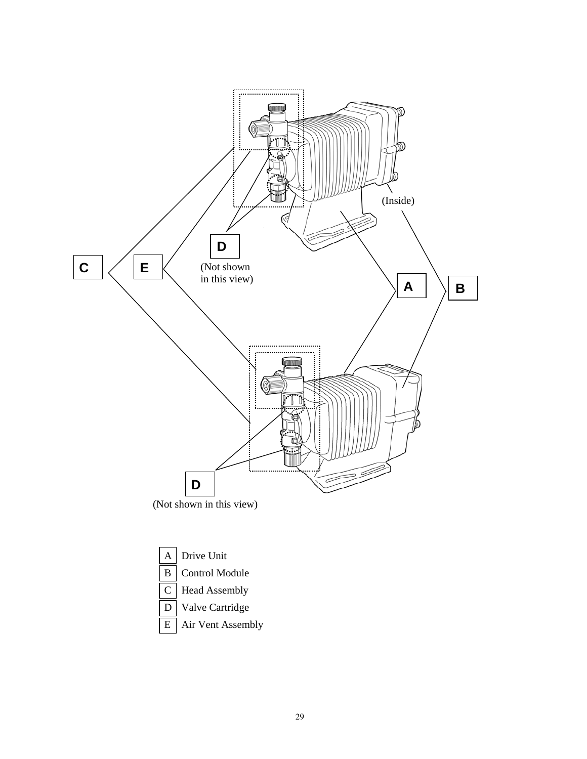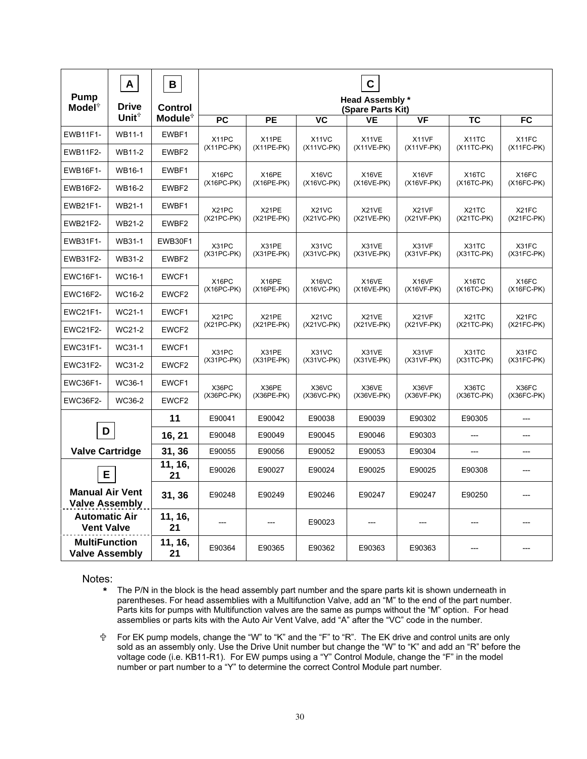| Pump<br>Model <sup>+</sup>                      | A<br><b>Drive</b>   | B<br><b>Control</b> | $\mathbf c$<br><b>Head Assembly*</b><br>(Spare Parts Kit) |                       |                            |                       |                       |                                    |                       |
|-------------------------------------------------|---------------------|---------------------|-----------------------------------------------------------|-----------------------|----------------------------|-----------------------|-----------------------|------------------------------------|-----------------------|
|                                                 | Unit $\mathbf{t}^*$ | Module <sup>+</sup> | <b>PC</b>                                                 | <b>PE</b>             | VC                         | <b>VE</b>             | <b>VF</b>             | <b>TC</b>                          | FC                    |
| <b>EWB11F1-</b>                                 | WB11-1              | EWBF1               | X11PC<br>$(X11PC-PK)$                                     | X11PE<br>(X11PE-PK)   | X11VC<br>$(X11VC-PK)$      | X11VE<br>$(X11VE-PK)$ | X11VF<br>$(X11VF-PK)$ | X <sub>1</sub> 1TC<br>$(X11TC-PK)$ | X11FC<br>$(X11FC-FK)$ |
| <b>EWB11F2-</b>                                 | <b>WB11-2</b>       | EWBF2               |                                                           |                       |                            |                       |                       |                                    |                       |
| <b>EWB16F1-</b>                                 | WB16-1              | EWBF1               | X16PC<br>$(X16PC-PK)$                                     | X16PE<br>$(X16PE-PK)$ | X16VC<br>$(X16VC-PK)$      | X16VE<br>$(X16VE-PK)$ | X16VF<br>$(X16VF-PK)$ | X <sub>16</sub> TC<br>$(X16TC-PK)$ | X16FC<br>$(X16FC-PK)$ |
| <b>EWB16F2-</b>                                 | WB16-2              | EWBF2               |                                                           |                       |                            |                       |                       |                                    |                       |
| EWB21F1-                                        | WB21-1              | EWBF1               | X21PC<br>$(X21PC-PK)$                                     | X21PE<br>(X21PE-PK)   | X21VC<br>$(X21VC-PK)$      | X21VE<br>(X21VE-PK)   | X21VF<br>$(X21VF-PK)$ | X21TC<br>(X21TC-PK)                | X21FC<br>$(X21FC-PK)$ |
| <b>EWB21F2-</b>                                 | WB21-2              | EWBF2               |                                                           |                       |                            |                       |                       |                                    |                       |
| EWB31F1-                                        | WB31-1              | EWB30F1             | X31PC<br>$(X31PC-PK)$                                     | X31PE<br>(X31PE-PK)   | X31VC<br>$(X31VC-PK)$      | X31VE<br>(X31VE-PK)   | X31VF<br>$(X31VF-PK)$ | X31TC<br>$(X31TC-PK)$              | X31FC<br>$(X31FC-PK)$ |
| EWB31F2-                                        | WB31-2              | EWBF2               |                                                           |                       |                            |                       |                       |                                    |                       |
| <b>EWC16F1-</b>                                 | WC16-1              | EWCF1               | X16PC<br>$(X16PC-PK)$                                     | X16PE<br>(X16PE-PK)   | X16VC<br>(X16VC-PK)        | X16VE<br>(X16VE-PK)   | X16VF<br>$(X16VF-PK)$ | X <sub>16</sub> TC<br>(X16TC-PK)   | X16FC<br>$(X16FC-PK)$ |
| <b>EWC16F2-</b>                                 | WC16-2              | EWCF2               |                                                           |                       |                            |                       |                       |                                    |                       |
| <b>EWC21F1-</b>                                 | WC21-1              | EWCF1               | X21PC<br>$(X21PC-PK)$                                     | X21PE<br>$(X21PE-PK)$ | X21VC<br>$(X21VC-PK)$      | X21VE<br>(X21VE-PK)   | X21VF<br>$(X21VF-FK)$ | X21TC<br>(X21TC-PK)                | X21FC<br>(X21FC-PK)   |
| <b>EWC21F2-</b>                                 | WC21-2              | EWCF2               |                                                           |                       |                            |                       |                       |                                    |                       |
| <b>EWC31F1-</b>                                 | WC31-1              | EWCF1               | X31PC<br>$(X31PC-PK)$                                     | X31PE<br>(X31PE-PK)   | X31VC<br>$(X31VC-PK)$      | X31VE<br>(X31VE-PK)   | X31VF<br>$(X31VF-PK)$ | X31TC<br>$(X31TC-PK)$              | X31FC<br>$(X31FC-PK)$ |
| <b>EWC31F2-</b>                                 | WC31-2              | EWCF2               |                                                           |                       |                            |                       |                       |                                    |                       |
| <b>EWC36F1-</b>                                 | WC36-1              | EWCF1               | X36PC<br>$(X36PC-PK)$                                     | X36PE<br>(X36PE-PK)   | <b>X36VC</b><br>(X36VC-PK) | X36VE<br>(X36VE-PK)   | X36VF<br>(X36VF-PK)   | X36TC<br>(X36TC-PK)                | X36FC<br>(X36FC-PK)   |
| <b>EWC36F2-</b>                                 | WC36-2              | EWCF2               |                                                           |                       |                            |                       |                       |                                    |                       |
|                                                 |                     | 11                  | E90041                                                    | E90042                | E90038                     | E90039                | E90302                | E90305                             | ---                   |
|                                                 | D                   |                     | E90048                                                    | E90049                | E90045                     | E90046                | E90303                |                                    | ---                   |
| <b>Valve Cartridge</b>                          |                     | 31, 36              | E90055                                                    | E90056                | E90052                     | E90053                | E90304                | ---                                | ---                   |
| Е                                               |                     | 11, 16,<br>21       | E90026                                                    | E90027                | E90024                     | E90025                | E90025                | E90308                             |                       |
| <b>Manual Air Vent</b><br><b>Valve Assembly</b> |                     | 31, 36              | E90248                                                    | E90249                | E90246                     | E90247                | E90247                | E90250                             |                       |
| <b>Automatic Air</b><br><b>Vent Valve</b>       |                     | 11, 16,<br>21       |                                                           |                       | E90023                     |                       |                       |                                    |                       |
| <b>MultiFunction</b><br><b>Valve Assembly</b>   |                     | 11, 16,<br>21       | E90364                                                    | E90365                | E90362                     | E90363                | E90363                |                                    |                       |

Notes:

- **\*** The P/N in the block is the head assembly part number and the spare parts kit is shown underneath in parentheses. For head assemblies with a Multifunction Valve, add an "M" to the end of the part number. Parts kits for pumps with Multifunction valves are the same as pumps without the "M" option. For head assemblies or parts kits with the Auto Air Vent Valve, add "A" after the "VC" code in the number.
- < For EK pump models, change the "W" to "K" and the "F" to "R". The EK drive and control units are only sold as an assembly only. Use the Drive Unit number but change the "W" to "K" and add an "R" before the voltage code (i.e. KB11-R1). For EW pumps using a "Y" Control Module, change the "F" in the model number or part number to a "Y" to determine the correct Control Module part number.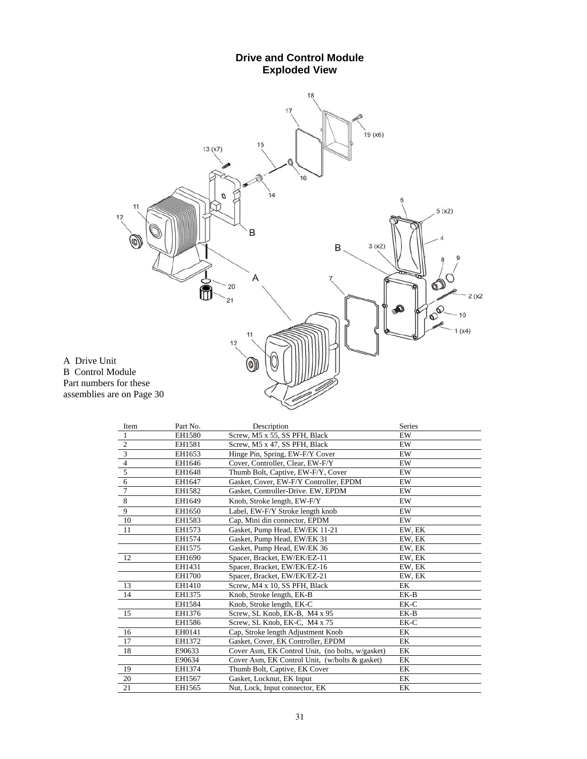#### **Drive and Control Module Exploded View**  18  $17$  $19(x6)$ 15  $13(x7)$ ô  $16$ O  $\overline{14}$ D 11  $5(x2)$  $12$ B  $\circledcirc$  $3(x2)$  $\mathsf B$  .  $\mathbb{D}_{\infty}^{\circ}$ A ò 20  $2(x2)$  $21$ **DO** Ð  $10$  $(x4)$  $11$  $12$ A Drive Unit  $\circledcirc$ B Control Module Part numbers for these assemblies are on Page 30

| Item           | Part No. | Description                                      | <b>Series</b> |
|----------------|----------|--------------------------------------------------|---------------|
| $\mathbf{1}$   | EH1580   | Screw, M5 x 55, SS PFH, Black                    | EW            |
| $\frac{2}{3}$  | EH1581   | Screw, M5 x 47, SS PFH, Black                    | EW            |
|                | EH1653   | Hinge Pin, Spring, EW-F/Y Cover                  | EW            |
| $\overline{4}$ | EH1646   | Cover, Controller, Clear, EW-F/Y                 | EW            |
| $\overline{5}$ | EH1648   | Thumb Bolt, Captive, EW-F/Y, Cover               | EW            |
| $\sqrt{6}$     | EH1647   | Gasket, Cover, EW-F/Y Controller, EPDM           | EW            |
| $\overline{7}$ | EH1582   | Gasket, Controller-Drive. EW, EPDM               | EW            |
| $\,8\,$        | EH1649   | Knob, Stroke length, EW-F/Y                      | EW            |
| 9              | EH1650   | Label, EW-F/Y Stroke length knob                 | EW            |
| 10             | EH1583   | Cap, Mini din connector, EPDM                    | EW            |
| 11             | EH1573   | Gasket, Pump Head, EW/EK 11-21                   | EW, EK        |
|                | EH1574   | Gasket, Pump Head, EW/EK 31                      | EW, EK        |
|                | EH1575   | Gasket, Pump Head, EW/EK 36                      | EW, EK        |
| 12             | EH1690   | Spacer, Bracket, EW/EK/EZ-11                     | EW, EK        |
|                | EH1431   | Spacer, Bracket, EW/EK/EZ-16                     | EW, EK        |
|                | EH1700   | Spacer, Bracket, EW/EK/EZ-21                     | EW, EK        |
| 13             | EH1410   | Screw, M4 x 10, SS PFH, Black                    | EK            |
| 14             | EH1375   | Knob, Stroke length, EK-B                        | EK-B          |
|                | EH1584   | Knob, Stroke length, EK-C                        | EK-C          |
| 15             | EH1376   | Screw, SL Knob, EK-B, M4 x 95                    | EK-B          |
|                | EH1586   | Screw, SL Knob, EK-C, M4 x 75                    | EK-C          |
| 16             | EH0141   | Cap, Stroke length Adjustment Knob               | EK            |
| 17             | EH1372   | Gasket, Cover, EK Controller, EPDM               | EK            |
| 18             | E90633   | Cover Asm, EK Control Unit, (no bolts, w/gasket) | EK            |
|                | E90634   | Cover Asm, EK Control Unit, (w/bolts & gasket)   | EK            |
| 19             | EH1374   | Thumb Bolt, Captive, EK Cover                    | EK            |
| 20             | EH1567   | Gasket, Locknut, EK Input                        | EK            |
| 21             | EH1565   | Nut, Lock, Input connector, EK                   | EK            |